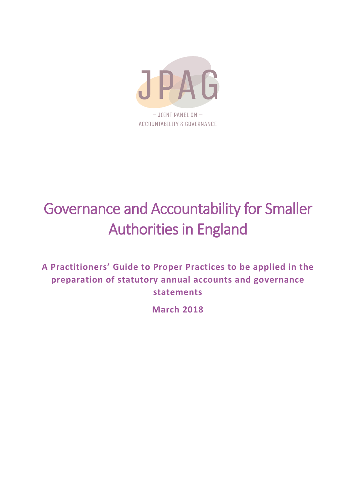

# Governance and Accountability for Smaller Authorities in England

**A Practitioners' Guide to Proper Practices to be applied in the preparation of statutory annual accounts and governance statements**

**March 2018**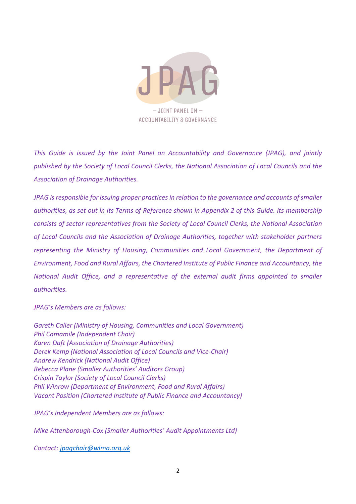

*This Guide is issued by the Joint Panel on Accountability and Governance (JPAG), and jointly published by the Society of Local Council Clerks, the National Association of Local Councils and the Association of Drainage Authorities.*

*JPAG is responsible for issuing proper practices in relation to the governance and accounts of smaller authorities, as set out in its Terms of Reference shown in Appendix 2 of this Guide. Its membership consists of sector representatives from the Society of Local Council Clerks, the National Association of Local Councils and the Association of Drainage Authorities, together with stakeholder partners representing the Ministry of Housing, Communities and Local Government, the Department of Environment, Food and Rural Affairs, the Chartered Institute of Public Finance and Accountancy, the National Audit Office, and a representative of the external audit firms appointed to smaller authorities.* 

*JPAG's Members are as follows:*

*Gareth Caller (Ministry of Housing, Communities and Local Government) Phil Camamile (Independent Chair) Karen Daft (Association of Drainage Authorities) Derek Kemp (National Association of Local Councils and Vice-Chair) Andrew Kendrick (National Audit Office) Rebecca Plane (Smaller Authorities' Auditors Group) Crispin Taylor (Society of Local Council Clerks) Phil Winrow (Department of Environment, Food and Rural Affairs) Vacant Position (Chartered Institute of Public Finance and Accountancy)*

*JPAG's Independent Members are as follows:*

*Mike Attenborough-Cox (Smaller Authorities' Audit Appointments Ltd)*

*Contact: [jpagchair@wlma.org.uk](mailto:jpagchair@wlma.org.uk)*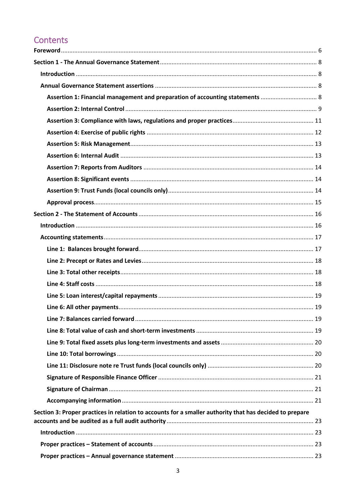# Contents

| Assertion 1: Financial management and preparation of accounting statements  8                           |  |
|---------------------------------------------------------------------------------------------------------|--|
|                                                                                                         |  |
|                                                                                                         |  |
|                                                                                                         |  |
|                                                                                                         |  |
|                                                                                                         |  |
|                                                                                                         |  |
|                                                                                                         |  |
|                                                                                                         |  |
|                                                                                                         |  |
|                                                                                                         |  |
|                                                                                                         |  |
|                                                                                                         |  |
|                                                                                                         |  |
|                                                                                                         |  |
|                                                                                                         |  |
|                                                                                                         |  |
|                                                                                                         |  |
|                                                                                                         |  |
|                                                                                                         |  |
|                                                                                                         |  |
|                                                                                                         |  |
|                                                                                                         |  |
|                                                                                                         |  |
|                                                                                                         |  |
|                                                                                                         |  |
|                                                                                                         |  |
| Section 3: Proper practices in relation to accounts for a smaller authority that has decided to prepare |  |
|                                                                                                         |  |
|                                                                                                         |  |
|                                                                                                         |  |
|                                                                                                         |  |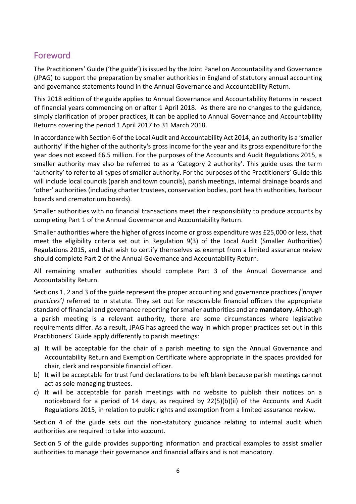## <span id="page-5-0"></span>Foreword

The Practitioners' Guide ('the guide') is issued by the Joint Panel on Accountability and Governance (JPAG) to support the preparation by smaller authorities in England of statutory annual accounting and governance statements found in the Annual Governance and Accountability Return.

This 2018 edition of the guide applies to Annual Governance and Accountability Returns in respect of financial years commencing on or after 1 April 2018. As there are no changes to the guidance, simply clarification of proper practices, it can be applied to Annual Governance and Accountability Returns covering the period 1 April 2017 to 31 March 2018.

In accordance with Section 6 of the Local Audit and Accountability Act 2014, an authority is a 'smaller authority' if the higher of the authority's gross income for the year and its gross expenditure for the year does not exceed £6.5 million. For the purposes of the Accounts and Audit Regulations 2015, a smaller authority may also be referred to as a 'Category 2 authority'. This guide uses the term 'authority' to refer to all types of smaller authority. For the purposes of the Practitioners' Guide this will include local councils (parish and town councils), parish meetings, internal drainage boards and 'other' authorities (including charter trustees, conservation bodies, port health authorities, harbour boards and crematorium boards).

Smaller authorities with no financial transactions meet their responsibility to produce accounts by completing Part 1 of the Annual Governance and Accountability Return.

Smaller authorities where the higher of gross income or gross expenditure was £25,000 or less, that meet the eligibility criteria set out in Regulation 9(3) of the Local Audit (Smaller Authorities) Regulations 2015, and that wish to certify themselves as exempt from a limited assurance review should complete Part 2 of the Annual Governance and Accountability Return.

All remaining smaller authorities should complete Part 3 of the Annual Governance and Accountability Return.

Sections 1, 2 and 3 of the guide represent the proper accounting and governance practices *('proper practices')* referred to in statute. They set out for responsible financial officers the appropriate standard of financial and governance reporting for smaller authorities and are **mandatory**. Although a parish meeting is a relevant authority, there are some circumstances where legislative requirements differ. As a result, JPAG has agreed the way in which proper practices set out in this Practitioners' Guide apply differently to parish meetings:

- a) It will be acceptable for the chair of a parish meeting to sign the Annual Governance and Accountability Return and Exemption Certificate where appropriate in the spaces provided for chair, clerk and responsible financial officer.
- b) It will be acceptable for trust fund declarations to be left blank because parish meetings cannot act as sole managing trustees.
- c) It will be acceptable for parish meetings with no website to publish their notices on a noticeboard for a period of 14 days, as required by 22(5)(b)(ii) of the Accounts and Audit Regulations 2015, in relation to public rights and exemption from a limited assurance review.

Section 4 of the guide sets out the non-statutory guidance relating to internal audit which authorities are required to take into account.

Section 5 of the guide provides supporting information and practical examples to assist smaller authorities to manage their governance and financial affairs and is not mandatory.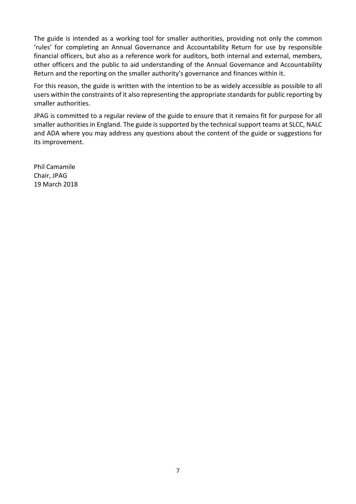The guide is intended as a working tool for smaller authorities, providing not only the common 'rules' for completing an Annual Governance and Accountability Return for use by responsible financial officers, but also as a reference work for auditors, both internal and external, members, other officers and the public to aid understanding of the Annual Governance and Accountability Return and the reporting on the smaller authority's governance and finances within it.

For this reason, the guide is written with the intention to be as widely accessible as possible to all users within the constraints of it also representing the appropriate standards for public reporting by smaller authorities.

JPAG is committed to a regular review of the guide to ensure that it remains fit for purpose for all smaller authorities in England. The guide is supported by the technical support teams at SLCC, NALC and ADA where you may address any questions about the content of the guide or suggestions for its improvement.

Phil Camamile Chair, JPAG 19 March 2018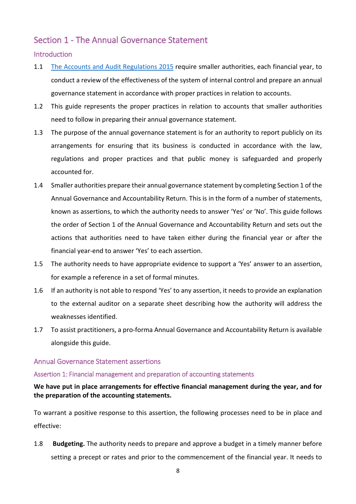## <span id="page-7-0"></span>Section 1 - The Annual Governance Statement

## <span id="page-7-1"></span>**Introduction**

- 1.1 [The Accounts and Audit Regulations 2015](http://www.legislation.gov.uk/uksi/2015/234/contents/made) require smaller authorities, each financial year, to conduct a review of the effectiveness of the system of internal control and prepare an annual governance statement in accordance with proper practices in relation to accounts.
- 1.2 This guide represents the proper practices in relation to accounts that smaller authorities need to follow in preparing their annual governance statement.
- 1.3 The purpose of the annual governance statement is for an authority to report publicly on its arrangements for ensuring that its business is conducted in accordance with the law, regulations and proper practices and that public money is safeguarded and properly accounted for.
- 1.4 Smaller authorities prepare their annual governance statement by completing Section 1 of the Annual Governance and Accountability Return. This is in the form of a number of statements, known as assertions, to which the authority needs to answer 'Yes' or 'No'. This guide follows the order of Section 1 of the Annual Governance and Accountability Return and sets out the actions that authorities need to have taken either during the financial year or after the financial year-end to answer 'Yes' to each assertion.
- 1.5 The authority needs to have appropriate evidence to support a 'Yes' answer to an assertion, for example a reference in a set of formal minutes.
- 1.6 If an authority is not able to respond 'Yes' to any assertion, it needs to provide an explanation to the external auditor on a separate sheet describing how the authority will address the weaknesses identified.
- 1.7 To assist practitioners, a pro-forma Annual Governance and Accountability Return is available alongside this guide.

## <span id="page-7-2"></span>Annual Governance Statement assertions

## <span id="page-7-3"></span>Assertion 1: Financial management and preparation of accounting statements

**We have put in place arrangements for effective financial management during the year, and for the preparation of the accounting statements.**

To warrant a positive response to this assertion, the following processes need to be in place and effective:

1.8 **Budgeting.** The authority needs to prepare and approve a budget in a timely manner before setting a precept or rates and prior to the commencement of the financial year. It needs to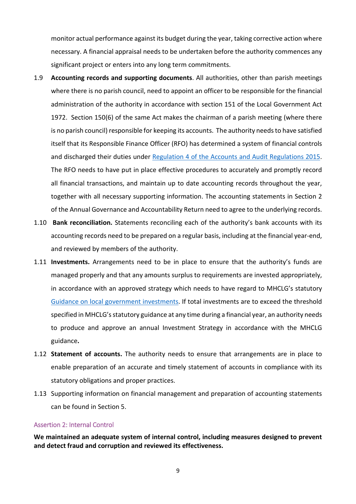monitor actual performance against its budget during the year, taking corrective action where necessary. A financial appraisal needs to be undertaken before the authority commences any significant project or enters into any long term commitments.

- 1.9 **Accounting records and supporting documents**. All authorities, other than parish meetings where there is no parish council, need to appoint an officer to be responsible for the financial administration of the authority in accordance with section 151 of the Local Government Act 1972. Section 150(6) of the same Act makes the chairman of a parish meeting (where there is no parish council) responsible for keeping its accounts. The authority needs to have satisfied itself that its Responsible Finance Officer (RFO) has determined a system of financial controls and discharged their duties under [Regulation 4 of the Accounts and Audit Regulations](http://www.legislation.gov.uk/uksi/2015/234/regulation/4/made) 2015. The RFO needs to have put in place effective procedures to accurately and promptly record all financial transactions, and maintain up to date accounting records throughout the year, together with all necessary supporting information. The accounting statements in Section 2 of the Annual Governance and Accountability Return need to agree to the underlying records.
- 1.10 **Bank reconciliation.** Statements reconciling each of the authority's bank accounts with its accounting records need to be prepared on a regular basis, including at the financial year-end, and reviewed by members of the authority.
- 1.11 **Investments.** Arrangements need to be in place to ensure that the authority's funds are managed properly and that any amounts surplus to requirements are invested appropriately, in accordance with an approved strategy which needs to have regard to MHCLG's statutory [Guidance on local government investments.](https://www.gov.uk/government/uploads/system/uploads/attachment_data/file/320206/1501971.pdf) If total investments are to exceed the threshold specified in MHCLG's statutory guidance at any time during a financial year, an authority needs to produce and approve an annual Investment Strategy in accordance with the MHCLG guidance**.**
- 1.12 **Statement of accounts.** The authority needs to ensure that arrangements are in place to enable preparation of an accurate and timely statement of accounts in compliance with its statutory obligations and proper practices.
- 1.13 Supporting information on financial management and preparation of accounting statements can be found in Section 5.

## <span id="page-8-0"></span>Assertion 2: Internal Control

**We maintained an adequate system of internal control, including measures designed to prevent and detect fraud and corruption and reviewed its effectiveness.**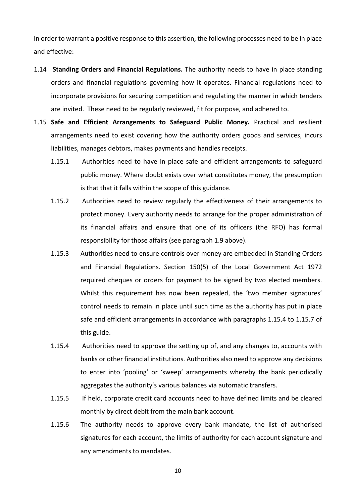In order to warrant a positive response to this assertion, the following processes need to be in place and effective:

- 1.14 **Standing Orders and Financial Regulations.** The authority needs to have in place standing orders and financial regulations governing how it operates. Financial regulations need to incorporate provisions for securing competition and regulating the manner in which tenders are invited. These need to be regularly reviewed, fit for purpose, and adhered to.
- 1.15 **Safe and Efficient Arrangements to Safeguard Public Money.** Practical and resilient arrangements need to exist covering how the authority orders goods and services, incurs liabilities, manages debtors, makes payments and handles receipts.
	- 1.15.1 Authorities need to have in place safe and efficient arrangements to safeguard public money. Where doubt exists over what constitutes money, the presumption is that that it falls within the scope of this guidance.
	- 1.15.2 Authorities need to review regularly the effectiveness of their arrangements to protect money. Every authority needs to arrange for the proper administration of its financial affairs and ensure that one of its officers (the RFO) has formal responsibility for those affairs (see paragraph 1.9 above).
	- 1.15.3 Authorities need to ensure controls over money are embedded in Standing Orders and Financial Regulations. Section 150(5) of the Local Government Act 1972 required cheques or orders for payment to be signed by two elected members. Whilst this requirement has now been repealed, the 'two member signatures' control needs to remain in place until such time as the authority has put in place safe and efficient arrangements in accordance with paragraphs 1.15.4 to 1.15.7 of this guide.
	- 1.15.4 Authorities need to approve the setting up of, and any changes to, accounts with banks or other financial institutions. Authorities also need to approve any decisions to enter into 'pooling' or 'sweep' arrangements whereby the bank periodically aggregates the authority's various balances via automatic transfers.
	- 1.15.5 If held, corporate credit card accounts need to have defined limits and be cleared monthly by direct debit from the main bank account.
	- 1.15.6 The authority needs to approve every bank mandate, the list of authorised signatures for each account, the limits of authority for each account signature and any amendments to mandates.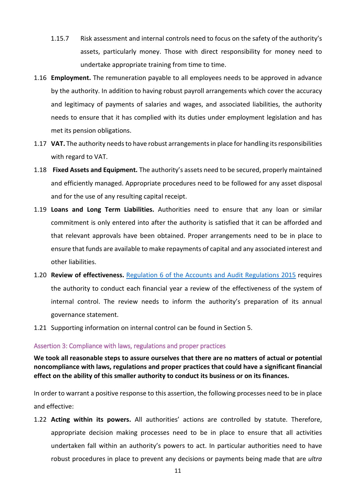- 1.15.7 Risk assessment and internal controls need to focus on the safety of the authority's assets, particularly money. Those with direct responsibility for money need to undertake appropriate training from time to time.
- 1.16 **Employment.** The remuneration payable to all employees needs to be approved in advance by the authority. In addition to having robust payroll arrangements which cover the accuracy and legitimacy of payments of salaries and wages, and associated liabilities, the authority needs to ensure that it has complied with its duties under employment legislation and has met its pension obligations.
- 1.17 **VAT.** The authority needs to have robust arrangements in place for handling its responsibilities with regard to VAT.
- 1.18 **Fixed Assets and Equipment.** The authority's assets need to be secured, properly maintained and efficiently managed. Appropriate procedures need to be followed for any asset disposal and for the use of any resulting capital receipt.
- 1.19 **Loans and Long Term Liabilities.** Authorities need to ensure that any loan or similar commitment is only entered into after the authority is satisfied that it can be afforded and that relevant approvals have been obtained. Proper arrangements need to be in place to ensure that funds are available to make repayments of capital and any associated interest and other liabilities.
- 1.20 **Review of effectiveness.** [Regulation 6 of the Accounts and Audit Regulations 2015](http://www.legislation.gov.uk/uksi/2015/234/regulation/6/made) requires the authority to conduct each financial year a review of the effectiveness of the system of internal control. The review needs to inform the authority's preparation of its annual governance statement.
- 1.21 Supporting information on internal control can be found in Section 5.

#### <span id="page-10-0"></span>Assertion 3: Compliance with laws, regulations and proper practices

**We took all reasonable steps to assure ourselves that there are no matters of actual or potential noncompliance with laws, regulations and proper practices that could have a significant financial effect on the ability of this smaller authority to conduct its business or on its finances.**

In order to warrant a positive response to this assertion, the following processes need to be in place and effective:

1.22 **Acting within its powers.** All authorities' actions are controlled by statute. Therefore, appropriate decision making processes need to be in place to ensure that all activities undertaken fall within an authority's powers to act. In particular authorities need to have robust procedures in place to prevent any decisions or payments being made that are *ultra*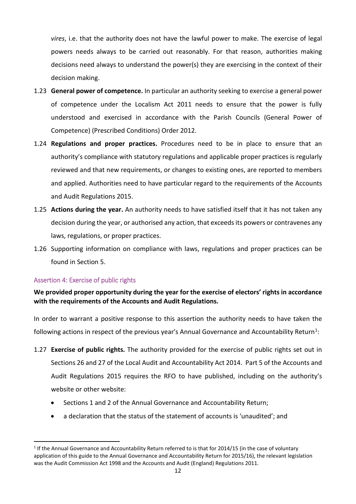*vires*, i.e. that the authority does not have the lawful power to make. The exercise of legal powers needs always to be carried out reasonably. For that reason, authorities making decisions need always to understand the power(s) they are exercising in the context of their decision making.

- 1.23 **General power of competence.** In particular an authority seeking to exercise a general power of competence under the Localism Act 2011 needs to ensure that the power is fully understood and exercised in accordance with the Parish Councils (General Power of Competence) (Prescribed Conditions) Order 2012.
- 1.24 **Regulations and proper practices.** Procedures need to be in place to ensure that an authority's compliance with statutory regulations and applicable proper practices is regularly reviewed and that new requirements, or changes to existing ones, are reported to members and applied. Authorities need to have particular regard to the requirements of the Accounts and Audit Regulations 2015.
- 1.25 **Actions during the year.** An authority needs to have satisfied itself that it has not taken any decision during the year, or authorised any action, that exceeds its powers or contravenes any laws, regulations, or proper practices.
- 1.26 Supporting information on compliance with laws, regulations and proper practices can be found in Section 5.

## <span id="page-11-0"></span>Assertion 4: Exercise of public rights

## **We provided proper opportunity during the year for the exercise of electors' rights in accordance with the requirements of the Accounts and Audit Regulations.**

In order to warrant a positive response to this assertion the authority needs to have taken the following actions in respect of the previous year's Annual Governance and Accountability Return<sup>[1](#page-11-1)</sup>:

- 1.27 **Exercise of public rights.** The authority provided for the exercise of public rights set out in Sections 26 and 27 of the Local Audit and Accountability Act 2014. Part 5 of the Accounts and Audit Regulations 2015 requires the RFO to have published, including on the authority's website or other website:
	- Sections 1 and 2 of the Annual Governance and Accountability Return;
	- a declaration that the status of the statement of accounts is 'unaudited'; and

<span id="page-11-1"></span> $1$  If the Annual Governance and Accountability Return referred to is that for 2014/15 (in the case of voluntary application of this guide to the Annual Governance and Accountability Return for 2015/16), the relevant legislation was the Audit Commission Act 1998 and the Accounts and Audit (England) Regulations 2011.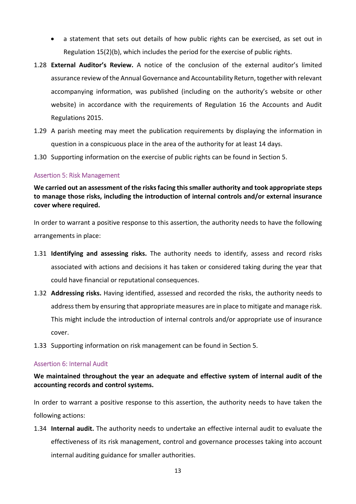- a statement that sets out details of how public rights can be exercised, as set out in Regulation 15(2)(b), which includes the period for the exercise of public rights.
- 1.28 **External Auditor's Review.** A notice of the conclusion of the external auditor's limited assurance review of the Annual Governance and Accountability Return, together with relevant accompanying information, was published (including on the authority's website or other website) in accordance with the requirements of Regulation 16 the Accounts and Audit Regulations 2015.
- 1.29 A parish meeting may meet the publication requirements by displaying the information in question in a conspicuous place in the area of the authority for at least 14 days.
- 1.30 Supporting information on the exercise of public rights can be found in Section 5.

## <span id="page-12-0"></span>Assertion 5: Risk Management

**We carried out an assessment of the risks facing this smaller authority and took appropriate steps to manage those risks, including the introduction of internal controls and/or external insurance cover where required.**

In order to warrant a positive response to this assertion, the authority needs to have the following arrangements in place:

- 1.31 **Identifying and assessing risks.** The authority needs to identify, assess and record risks associated with actions and decisions it has taken or considered taking during the year that could have financial or reputational consequences.
- 1.32 **Addressing risks.** Having identified, assessed and recorded the risks, the authority needs to address them by ensuring that appropriate measures are in place to mitigate and manage risk. This might include the introduction of internal controls and/or appropriate use of insurance cover.
- 1.33 Supporting information on risk management can be found in Section 5.

## <span id="page-12-1"></span>Assertion 6: Internal Audit

## **We maintained throughout the year an adequate and effective system of internal audit of the accounting records and control systems.**

In order to warrant a positive response to this assertion, the authority needs to have taken the following actions:

1.34 **Internal audit.** The authority needs to undertake an effective internal audit to evaluate the effectiveness of its risk management, control and governance processes taking into account internal auditing guidance for smaller authorities.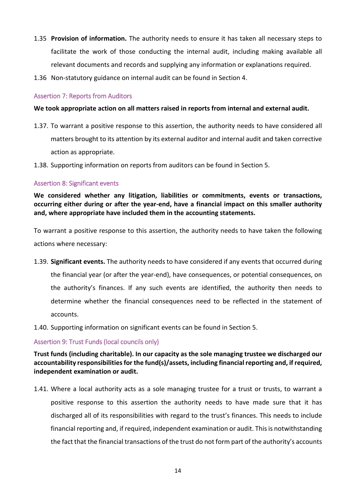- 1.35 **Provision of information.** The authority needs to ensure it has taken all necessary steps to facilitate the work of those conducting the internal audit, including making available all relevant documents and records and supplying any information or explanations required.
- 1.36 Non-statutory guidance on internal audit can be found in Section 4.

## <span id="page-13-0"></span>Assertion 7: Reports from Auditors

## **We took appropriate action on all matters raised in reports from internal and external audit.**

- 1.37. To warrant a positive response to this assertion, the authority needs to have considered all matters brought to its attention by its external auditor and internal audit and taken corrective action as appropriate.
- 1.38. Supporting information on reports from auditors can be found in Section 5.

## <span id="page-13-1"></span>Assertion 8: Significant events

**We considered whether any litigation, liabilities or commitments, events or transactions, occurring either during or after the year-end, have a financial impact on this smaller authority and, where appropriate have included them in the accounting statements.**

To warrant a positive response to this assertion, the authority needs to have taken the following actions where necessary:

- 1.39. **Significant events.** The authority needs to have considered if any events that occurred during the financial year (or after the year-end), have consequences, or potential consequences, on the authority's finances. If any such events are identified, the authority then needs to determine whether the financial consequences need to be reflected in the statement of accounts.
- 1.40. Supporting information on significant events can be found in Section 5.

## <span id="page-13-2"></span>Assertion 9: Trust Funds (local councils only)

## **Trust funds (including charitable). In our capacity as the sole managing trustee we discharged our accountability responsibilities for the fund(s)/assets, including financial reporting and, if required, independent examination or audit.**

1.41. Where a local authority acts as a sole managing trustee for a trust or trusts, to warrant a positive response to this assertion the authority needs to have made sure that it has discharged all of its responsibilities with regard to the trust's finances. This needs to include financial reporting and, if required, independent examination or audit. This is notwithstanding the fact that the financial transactions of the trust do not form part of the authority's accounts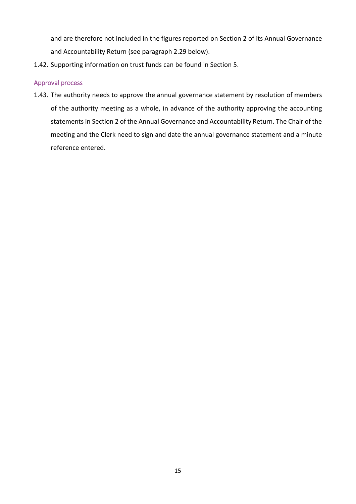and are therefore not included in the figures reported on Section 2 of its Annual Governance and Accountability Return (see paragraph 2.29 below).

1.42. Supporting information on trust funds can be found in Section 5.

## <span id="page-14-0"></span>Approval process

1.43. The authority needs to approve the annual governance statement by resolution of members of the authority meeting as a whole, in advance of the authority approving the accounting statements in Section 2 of the Annual Governance and Accountability Return. The Chair of the meeting and the Clerk need to sign and date the annual governance statement and a minute reference entered.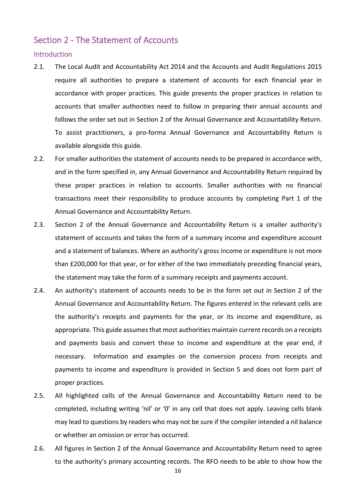## <span id="page-15-0"></span>Section 2 - The Statement of Accounts

#### <span id="page-15-1"></span>**Introduction**

- 2.1. The Local Audit and Accountability Act 2014 and the Accounts and Audit Regulations 2015 require all authorities to prepare a statement of accounts for each financial year in accordance with proper practices. This guide presents the proper practices in relation to accounts that smaller authorities need to follow in preparing their annual accounts and follows the order set out in Section 2 of the Annual Governance and Accountability Return. To assist practitioners, a pro-forma Annual Governance and Accountability Return is available alongside this guide.
- 2.2. For smaller authorities the statement of accounts needs to be prepared in accordance with, and in the form specified in, any Annual Governance and Accountability Return required by these proper practices in relation to accounts. Smaller authorities with no financial transactions meet their responsibility to produce accounts by completing Part 1 of the Annual Governance and Accountability Return.
- 2.3. Section 2 of the Annual Governance and Accountability Return is a smaller authority's statement of accounts and takes the form of a summary income and expenditure account and a statement of balances. Where an authority's gross income or expenditure is not more than £200,000 for that year, or for either of the two immediately preceding financial years, the statement may take the form of a summary receipts and payments account.
- 2.4. An authority's statement of accounts needs to be in the form set out in Section 2 of the Annual Governance and Accountability Return. The figures entered in the relevant cells are the authority's receipts and payments for the year, or its income and expenditure, as appropriate. This guide assumes that most authorities maintain current records on a receipts and payments basis and convert these to income and expenditure at the year end, if necessary. Information and examples on the conversion process from receipts and payments to income and expenditure is provided in Section 5 and does not form part of proper practices.
- 2.5. All highlighted cells of the Annual Governance and Accountability Return need to be completed, including writing 'nil' or '0' in any cell that does not apply. Leaving cells blank may lead to questions by readers who may not be sure if the compiler intended a nil balance or whether an omission or error has occurred.
- 2.6. All figures in Section 2 of the Annual Governance and Accountability Return need to agree to the authority's primary accounting records. The RFO needs to be able to show how the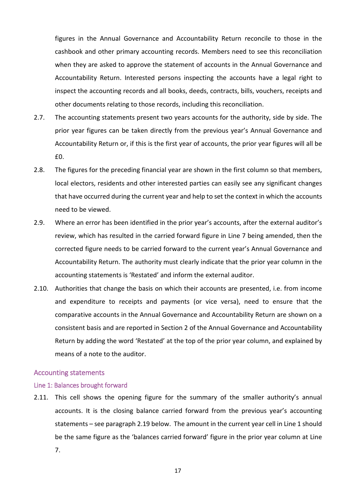figures in the Annual Governance and Accountability Return reconcile to those in the cashbook and other primary accounting records. Members need to see this reconciliation when they are asked to approve the statement of accounts in the Annual Governance and Accountability Return. Interested persons inspecting the accounts have a legal right to inspect the accounting records and all books, deeds, contracts, bills, vouchers, receipts and other documents relating to those records, including this reconciliation.

- 2.7. The accounting statements present two years accounts for the authority, side by side. The prior year figures can be taken directly from the previous year's Annual Governance and Accountability Return or, if this is the first year of accounts, the prior year figures will all be £0.
- 2.8. The figures for the preceding financial year are shown in the first column so that members, local electors, residents and other interested parties can easily see any significant changes that have occurred during the current year and help to set the context in which the accounts need to be viewed.
- 2.9. Where an error has been identified in the prior year's accounts, after the external auditor's review, which has resulted in the carried forward figure in Line 7 being amended, then the corrected figure needs to be carried forward to the current year's Annual Governance and Accountability Return. The authority must clearly indicate that the prior year column in the accounting statements is 'Restated' and inform the external auditor.
- 2.10. Authorities that change the basis on which their accounts are presented, i.e. from income and expenditure to receipts and payments (or vice versa), need to ensure that the comparative accounts in the Annual Governance and Accountability Return are shown on a consistent basis and are reported in Section 2 of the Annual Governance and Accountability Return by adding the word 'Restated' at the top of the prior year column, and explained by means of a note to the auditor.

#### <span id="page-16-0"></span>Accounting statements

#### <span id="page-16-1"></span>Line 1: Balances brought forward

2.11. This cell shows the opening figure for the summary of the smaller authority's annual accounts. It is the closing balance carried forward from the previous year's accounting statements – see paragraph 2.19 below. The amount in the current year cell in Line 1 should be the same figure as the 'balances carried forward' figure in the prior year column at Line 7.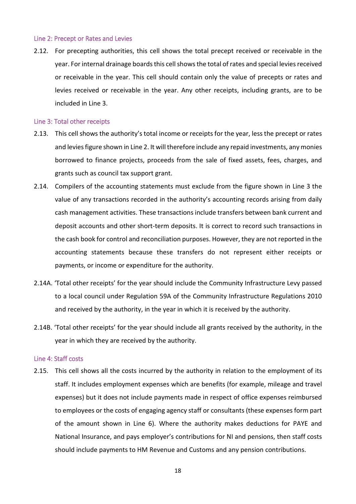#### <span id="page-17-0"></span>Line 2: Precept or Rates and Levies

2.12. For precepting authorities, this cell shows the total precept received or receivable in the year. For internal drainage boards this cell shows the total of rates and special levies received or receivable in the year. This cell should contain only the value of precepts or rates and levies received or receivable in the year. Any other receipts, including grants, are to be included in Line 3.

#### <span id="page-17-1"></span>Line 3: Total other receipts

- 2.13. This cell shows the authority's total income or receipts for the year, less the precept or rates and levies figure shown in Line 2. It will therefore include any repaid investments, any monies borrowed to finance projects, proceeds from the sale of fixed assets, fees, charges, and grants such as council tax support grant.
- 2.14. Compilers of the accounting statements must exclude from the figure shown in Line 3 the value of any transactions recorded in the authority's accounting records arising from daily cash management activities. These transactions include transfers between bank current and deposit accounts and other short-term deposits. It is correct to record such transactions in the cash book for control and reconciliation purposes. However, they are not reported in the accounting statements because these transfers do not represent either receipts or payments, or income or expenditure for the authority.
- 2.14A. 'Total other receipts' for the year should include the Community Infrastructure Levy passed to a local council under Regulation 59A of the Community Infrastructure Regulations 2010 and received by the authority, in the year in which it is received by the authority.
- 2.14B. 'Total other receipts' for the year should include all grants received by the authority, in the year in which they are received by the authority.

#### <span id="page-17-2"></span>Line 4: Staff costs

2.15. This cell shows all the costs incurred by the authority in relation to the employment of its staff. It includes employment expenses which are benefits (for example, mileage and travel expenses) but it does not include payments made in respect of office expenses reimbursed to employees or the costs of engaging agency staff or consultants (these expenses form part of the amount shown in Line 6). Where the authority makes deductions for PAYE and National Insurance, and pays employer's contributions for NI and pensions, then staff costs should include payments to HM Revenue and Customs and any pension contributions.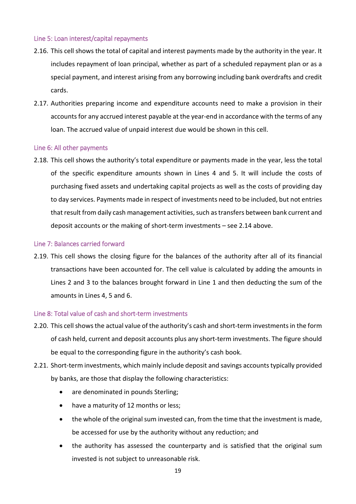## <span id="page-18-0"></span>Line 5: Loan interest/capital repayments

- 2.16. This cell shows the total of capital and interest payments made by the authority in the year. It includes repayment of loan principal, whether as part of a scheduled repayment plan or as a special payment, and interest arising from any borrowing including bank overdrafts and credit cards.
- 2.17. Authorities preparing income and expenditure accounts need to make a provision in their accounts for any accrued interest payable at the year-end in accordance with the terms of any loan. The accrued value of unpaid interest due would be shown in this cell.

## <span id="page-18-1"></span>Line 6: All other payments

2.18. This cell shows the authority's total expenditure or payments made in the year, less the total of the specific expenditure amounts shown in Lines 4 and 5. It will include the costs of purchasing fixed assets and undertaking capital projects as well as the costs of providing day to day services. Payments made in respect of investments need to be included, but not entries that result from daily cash management activities, such as transfers between bank current and deposit accounts or the making of short-term investments – see 2.14 above.

## <span id="page-18-2"></span>Line 7: Balances carried forward

2.19. This cell shows the closing figure for the balances of the authority after all of its financial transactions have been accounted for. The cell value is calculated by adding the amounts in Lines 2 and 3 to the balances brought forward in Line 1 and then deducting the sum of the amounts in Lines 4, 5 and 6.

## <span id="page-18-3"></span>Line 8: Total value of cash and short-term investments

- 2.20. This cell shows the actual value of the authority's cash and short-term investments in the form of cash held, current and deposit accounts plus any short-term investments. The figure should be equal to the corresponding figure in the authority's cash book.
- 2.21. Short-term investments, which mainly include deposit and savings accounts typically provided by banks, are those that display the following characteristics:
	- are denominated in pounds Sterling;
	- have a maturity of 12 months or less;
	- the whole of the original sum invested can, from the time that the investment is made, be accessed for use by the authority without any reduction; and
	- the authority has assessed the counterparty and is satisfied that the original sum invested is not subject to unreasonable risk.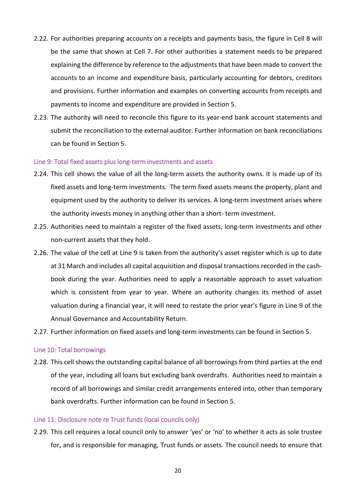- 2.22. For authorities preparing accounts on a receipts and payments basis, the figure in Cell 8 will be the same that shown at Cell 7. For other authorities a statement needs to be prepared explaining the difference by reference to the adjustments that have been made to convert the accounts to an income and expenditure basis, particularly accounting for debtors, creditors and provisions. Further information and examples on converting accounts from receipts and payments to income and expenditure are provided in Section 5.
- 2.23. The authority will need to reconcile this figure to its year-end bank account statements and submit the reconciliation to the external auditor. Further information on bank reconciliations can be found in Section 5.

#### <span id="page-19-0"></span>Line 9: Total fixed assets plus long-term investments and assets

- 2.24. This cell shows the value of all the long-term assets the authority owns. It is made up of its fixed assets and long-term investments. The term fixed assets means the property, plant and equipment used by the authority to deliver its services. A long-term investment arises where the authority invests money in anything other than a short- term investment.
- 2.25. Authorities need to maintain a register of the fixed assets, long-term investments and other non-current assets that they hold.
- 2.26. The value of the cell at Line 9 is taken from the authority's asset register which is up to date at 31 March and includes all capital acquisition and disposal transactions recorded in the cashbook during the year. Authorities need to apply a reasonable approach to asset valuation which is consistent from year to year. Where an authority changes its method of asset valuation during a financial year, it will need to restate the prior year's figure in Line 9 of the Annual Governance and Accountability Return.
- 2.27. Further information on fixed assets and long-term investments can be found in Section 5.

#### <span id="page-19-1"></span>Line 10: Total borrowings

2.28. This cell shows the outstanding capital balance of all borrowings from third parties at the end of the year, including all loans but excluding bank overdrafts. Authorities need to maintain a record of all borrowings and similar credit arrangements entered into, other than temporary bank overdrafts. Further information can be found in Section 5.

## <span id="page-19-2"></span>Line 11: Disclosure note re Trust funds (local councils only)

2.29. This cell requires a local council only to answer 'yes' or 'no' to whether it acts as sole trustee for, and is responsible for managing, Trust funds or assets. The council needs to ensure that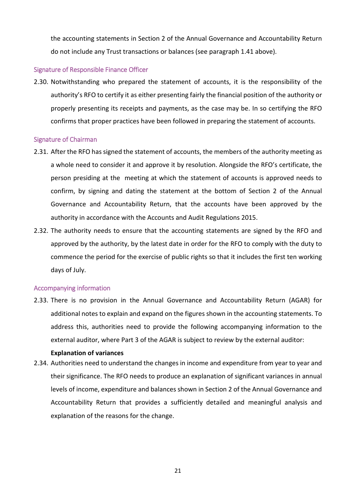the accounting statements in Section 2 of the Annual Governance and Accountability Return do not include any Trust transactions or balances (see paragraph 1.41 above).

#### <span id="page-20-0"></span>Signature of Responsible Finance Officer

2.30. Notwithstanding who prepared the statement of accounts, it is the responsibility of the authority's RFO to certify it as either presenting fairly the financial position of the authority or properly presenting its receipts and payments, as the case may be. In so certifying the RFO confirms that proper practices have been followed in preparing the statement of accounts.

#### <span id="page-20-1"></span>Signature of Chairman

- 2.31. After the RFO has signed the statement of accounts, the members of the authority meeting as a whole need to consider it and approve it by resolution. Alongside the RFO's certificate, the person presiding at the meeting at which the statement of accounts is approved needs to confirm, by signing and dating the statement at the bottom of Section 2 of the Annual Governance and Accountability Return, that the accounts have been approved by the authority in accordance with the Accounts and Audit Regulations 2015.
- 2.32. The authority needs to ensure that the accounting statements are signed by the RFO and approved by the authority, by the latest date in order for the RFO to comply with the duty to commence the period for the exercise of public rights so that it includes the first ten working days of July.

#### <span id="page-20-2"></span>Accompanying information

2.33. There is no provision in the Annual Governance and Accountability Return (AGAR) for additional notes to explain and expand on the figures shown in the accounting statements. To address this, authorities need to provide the following accompanying information to the external auditor, where Part 3 of the AGAR is subject to review by the external auditor:

#### **Explanation of variances**

2.34. Authorities need to understand the changes in income and expenditure from year to year and their significance. The RFO needs to produce an explanation of significant variances in annual levels of income, expenditure and balances shown in Section 2 of the Annual Governance and Accountability Return that provides a sufficiently detailed and meaningful analysis and explanation of the reasons for the change.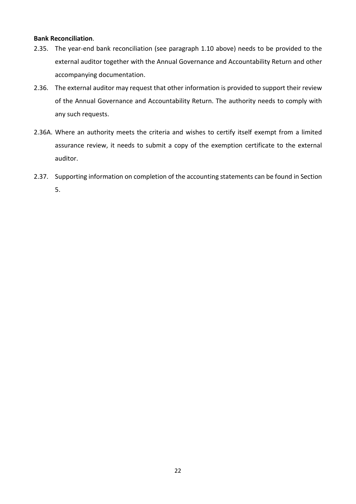#### **Bank Reconciliation**.

- 2.35. The year-end bank reconciliation (see paragraph 1.10 above) needs to be provided to the external auditor together with the Annual Governance and Accountability Return and other accompanying documentation.
- 2.36. The external auditor may request that other information is provided to support their review of the Annual Governance and Accountability Return. The authority needs to comply with any such requests.
- 2.36A. Where an authority meets the criteria and wishes to certify itself exempt from a limited assurance review, it needs to submit a copy of the exemption certificate to the external auditor.
- 2.37. Supporting information on completion of the accounting statements can be found in Section 5.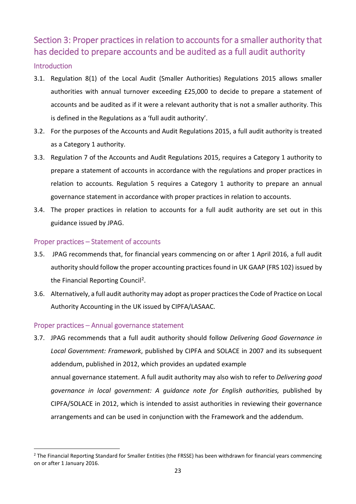# <span id="page-22-0"></span>Section 3: Proper practices in relation to accounts for a smaller authority that has decided to prepare accounts and be audited as a full audit authority

## <span id="page-22-1"></span>Introduction

- 3.1. Regulation 8(1) of the Local Audit (Smaller Authorities) Regulations 2015 allows smaller authorities with annual turnover exceeding £25,000 to decide to prepare a statement of accounts and be audited as if it were a relevant authority that is not a smaller authority. This is defined in the Regulations as a 'full audit authority'.
- 3.2. For the purposes of the Accounts and Audit Regulations 2015, a full audit authority is treated as a Category 1 authority.
- 3.3. Regulation 7 of the Accounts and Audit Regulations 2015, requires a Category 1 authority to prepare a statement of accounts in accordance with the regulations and proper practices in relation to accounts. Regulation 5 requires a Category 1 authority to prepare an annual governance statement in accordance with proper practices in relation to accounts.
- 3.4. The proper practices in relation to accounts for a full audit authority are set out in this guidance issued by JPAG.

## <span id="page-22-2"></span>Proper practices – Statement of accounts

- 3.5. JPAG recommends that, for financial years commencing on or after 1 April 2016, a full audit authority should follow the proper accounting practices found in UK GAAP (FRS 102) issued by the Financial Reporting Council<sup>2</sup>.
- 3.6. Alternatively, a full audit authority may adopt as proper practices the Code of Practice on Local Authority Accounting in the UK issued by CIPFA/LASAAC.

## <span id="page-22-3"></span>Proper practices – Annual governance statement

3.7. JPAG recommends that a full audit authority should follow *Delivering Good Governance in Local Government: Framework*, published by CIPFA and SOLACE in 2007 and its subsequent addendum, published in 2012, which provides an updated example annual governance statement. A full audit authority may also wish to refer to *Delivering good governance in local government: A guidance note for English authorities,* published by CIPFA/SOLACE in 2012, which is intended to assist authorities in reviewing their governance arrangements and can be used in conjunction with the Framework and the addendum.

<span id="page-22-4"></span><sup>&</sup>lt;sup>2</sup> The Financial Reporting Standard for Smaller Entities (the FRSSE) has been withdrawn for financial years commencing on or after 1 January 2016.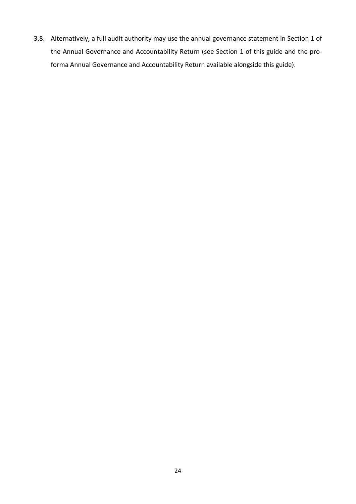3.8. Alternatively, a full audit authority may use the annual governance statement in Section 1 of the Annual Governance and Accountability Return (see Section 1 of this guide and the proforma Annual Governance and Accountability Return available alongside this guide).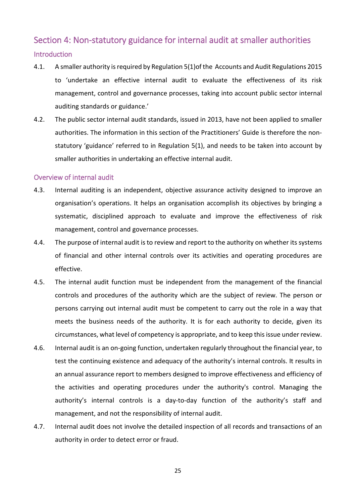# <span id="page-24-1"></span><span id="page-24-0"></span>Section 4: Non-statutory guidance for internal audit at smaller authorities Introduction

- 4.1. A smaller authority is required by Regulation 5(1)of the Accounts and Audit Regulations 2015 to 'undertake an effective internal audit to evaluate the effectiveness of its risk management, control and governance processes, taking into account public sector internal auditing standards or guidance.'
- 4.2. The public sector internal audit standards, issued in 2013, have not been applied to smaller authorities. The information in this section of the Practitioners' Guide is therefore the nonstatutory 'guidance' referred to in Regulation 5(1), and needs to be taken into account by smaller authorities in undertaking an effective internal audit.

## <span id="page-24-2"></span>Overview of internal audit

- 4.3. Internal auditing is an independent, objective assurance activity designed to improve an organisation's operations. It helps an organisation accomplish its objectives by bringing a systematic, disciplined approach to evaluate and improve the effectiveness of risk management, control and governance processes.
- 4.4. The purpose of internal audit is to review and report to the authority on whether its systems of financial and other internal controls over its activities and operating procedures are effective.
- 4.5. The internal audit function must be independent from the management of the financial controls and procedures of the authority which are the subject of review. The person or persons carrying out internal audit must be competent to carry out the role in a way that meets the business needs of the authority. It is for each authority to decide, given its circumstances, what level of competency is appropriate, and to keep this issue under review.
- 4.6. Internal audit is an on-going function, undertaken regularly throughout the financial year, to test the continuing existence and adequacy of the authority's internal controls. It results in an annual assurance report to members designed to improve effectiveness and efficiency of the activities and operating procedures under the authority's control. Managing the authority's internal controls is a day-to-day function of the authority's staff and management, and not the responsibility of internal audit.
- 4.7. Internal audit does not involve the detailed inspection of all records and transactions of an authority in order to detect error or fraud.

25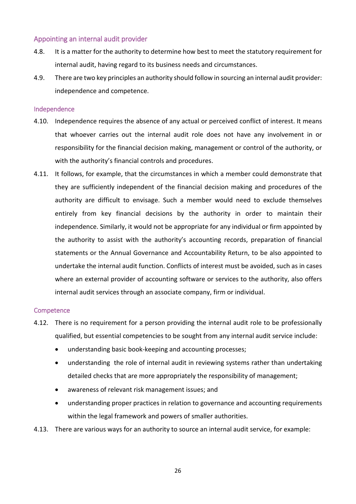## <span id="page-25-0"></span>Appointing an internal audit provider

- 4.8. It is a matter for the authority to determine how best to meet the statutory requirement for internal audit, having regard to its business needs and circumstances.
- 4.9. There are two key principles an authority should follow in sourcing an internal audit provider: independence and competence.

#### <span id="page-25-1"></span>Independence

- 4.10. Independence requires the absence of any actual or perceived conflict of interest. It means that whoever carries out the internal audit role does not have any involvement in or responsibility for the financial decision making, management or control of the authority, or with the authority's financial controls and procedures.
- 4.11. It follows, for example, that the circumstances in which a member could demonstrate that they are sufficiently independent of the financial decision making and procedures of the authority are difficult to envisage. Such a member would need to exclude themselves entirely from key financial decisions by the authority in order to maintain their independence. Similarly, it would not be appropriate for any individual or firm appointed by the authority to assist with the authority's accounting records, preparation of financial statements or the Annual Governance and Accountability Return, to be also appointed to undertake the internal audit function. Conflicts of interest must be avoided, such as in cases where an external provider of accounting software or services to the authority, also offers internal audit services through an associate company, firm or individual.

#### <span id="page-25-2"></span>**Competence**

- 4.12. There is no requirement for a person providing the internal audit role to be professionally qualified, but essential competencies to be sought from any internal audit service include:
	- understanding basic book-keeping and accounting processes;
	- understanding the role of internal audit in reviewing systems rather than undertaking detailed checks that are more appropriately the responsibility of management;
	- awareness of relevant risk management issues; and
	- understanding proper practices in relation to governance and accounting requirements within the legal framework and powers of smaller authorities.
- 4.13. There are various ways for an authority to source an internal audit service, for example: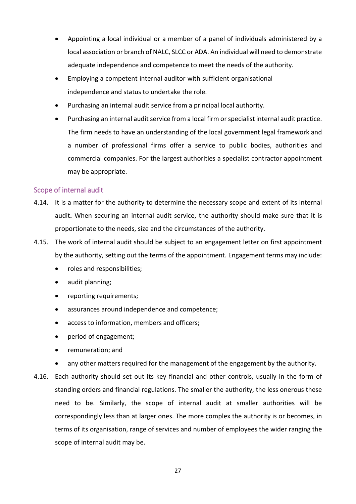- Appointing a local individual or a member of a panel of individuals administered by a local association or branch of NALC, SLCC or ADA. An individual will need to demonstrate adequate independence and competence to meet the needs of the authority.
- Employing a competent internal auditor with sufficient organisational independence and status to undertake the role.
- Purchasing an internal audit service from a principal local authority.
- Purchasing an internal audit service from a local firm or specialist internal audit practice. The firm needs to have an understanding of the local government legal framework and a number of professional firms offer a service to public bodies, authorities and commercial companies. For the largest authorities a specialist contractor appointment may be appropriate.

## <span id="page-26-0"></span>Scope of internal audit

- 4.14. It is a matter for the authority to determine the necessary scope and extent of its internal audit**.** When securing an internal audit service, the authority should make sure that it is proportionate to the needs, size and the circumstances of the authority.
- 4.15. The work of internal audit should be subject to an engagement letter on first appointment by the authority, setting out the terms of the appointment. Engagement terms may include:
	- roles and responsibilities;
	- audit planning;
	- reporting requirements;
	- assurances around independence and competence;
	- access to information, members and officers;
	- period of engagement;
	- remuneration; and
	- any other matters required for the management of the engagement by the authority.
- 4.16. Each authority should set out its key financial and other controls, usually in the form of standing orders and financial regulations. The smaller the authority, the less onerous these need to be. Similarly, the scope of internal audit at smaller authorities will be correspondingly less than at larger ones. The more complex the authority is or becomes, in terms of its organisation, range of services and number of employees the wider ranging the scope of internal audit may be.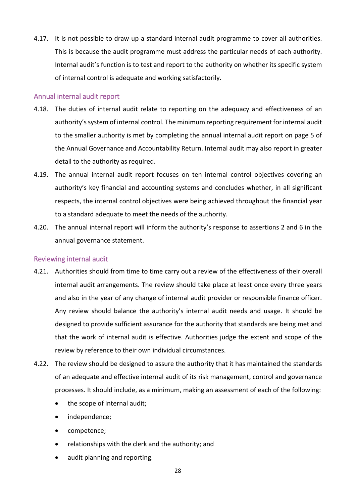4.17. It is not possible to draw up a standard internal audit programme to cover all authorities. This is because the audit programme must address the particular needs of each authority. Internal audit's function is to test and report to the authority on whether its specific system of internal control is adequate and working satisfactorily.

## <span id="page-27-0"></span>Annual internal audit report

- 4.18. The duties of internal audit relate to reporting on the adequacy and effectiveness of an authority's system of internal control. The minimum reporting requirement for internal audit to the smaller authority is met by completing the annual internal audit report on page 5 of the Annual Governance and Accountability Return. Internal audit may also report in greater detail to the authority as required.
- 4.19. The annual internal audit report focuses on ten internal control objectives covering an authority's key financial and accounting systems and concludes whether, in all significant respects, the internal control objectives were being achieved throughout the financial year to a standard adequate to meet the needs of the authority.
- 4.20. The annual internal report will inform the authority's response to assertions 2 and 6 in the annual governance statement.

#### <span id="page-27-1"></span>Reviewing internal audit

- 4.21. Authorities should from time to time carry out a review of the effectiveness of their overall internal audit arrangements. The review should take place at least once every three years and also in the year of any change of internal audit provider or responsible finance officer. Any review should balance the authority's internal audit needs and usage. It should be designed to provide sufficient assurance for the authority that standards are being met and that the work of internal audit is effective. Authorities judge the extent and scope of the review by reference to their own individual circumstances.
- 4.22. The review should be designed to assure the authority that it has maintained the standards of an adequate and effective internal audit of its risk management, control and governance processes. It should include, as a minimum, making an assessment of each of the following:
	- the scope of internal audit;
	- independence;
	- competence;
	- relationships with the clerk and the authority; and
	- audit planning and reporting.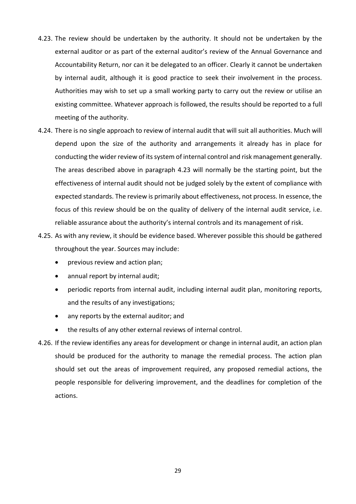- 4.23. The review should be undertaken by the authority. It should not be undertaken by the external auditor or as part of the external auditor's review of the Annual Governance and Accountability Return, nor can it be delegated to an officer. Clearly it cannot be undertaken by internal audit, although it is good practice to seek their involvement in the process. Authorities may wish to set up a small working party to carry out the review or utilise an existing committee. Whatever approach is followed, the results should be reported to a full meeting of the authority.
- 4.24. There is no single approach to review of internal audit that will suit all authorities. Much will depend upon the size of the authority and arrangements it already has in place for conducting the wider review of its system of internal control and risk management generally. The areas described above in paragraph 4.23 will normally be the starting point, but the effectiveness of internal audit should not be judged solely by the extent of compliance with expected standards. The review is primarily about effectiveness, not process. In essence, the focus of this review should be on the quality of delivery of the internal audit service, i.e. reliable assurance about the authority's internal controls and its management of risk.
- 4.25. As with any review, it should be evidence based. Wherever possible this should be gathered throughout the year. Sources may include:
	- previous review and action plan;
	- annual report by internal audit;
	- periodic reports from internal audit, including internal audit plan, monitoring reports, and the results of any investigations;
	- any reports by the external auditor; and
	- the results of any other external reviews of internal control.
- 4.26. If the review identifies any areas for development or change in internal audit, an action plan should be produced for the authority to manage the remedial process. The action plan should set out the areas of improvement required, any proposed remedial actions, the people responsible for delivering improvement, and the deadlines for completion of the actions.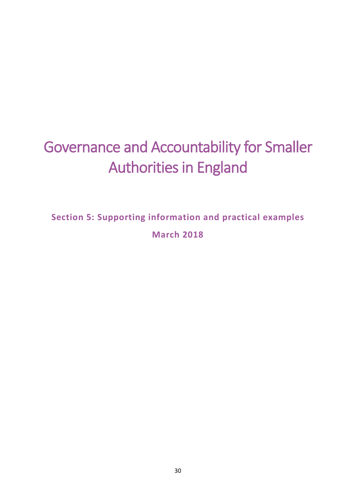# Governance and Accountability for Smaller Authorities in England

**Section 5: Supporting information and practical examples March 2018**

30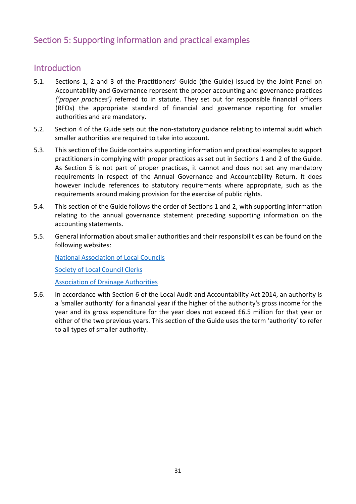# <span id="page-30-0"></span>Section 5: Supporting information and practical examples

## <span id="page-30-1"></span>Introduction

- 5.1. Sections 1, 2 and 3 of the Practitioners' Guide (the Guide) issued by the Joint Panel on Accountability and Governance represent the proper accounting and governance practices *('proper practices')* referred to in statute. They set out for responsible financial officers (RFOs) the appropriate standard of financial and governance reporting for smaller authorities and are mandatory.
- 5.2. Section 4 of the Guide sets out the non-statutory guidance relating to internal audit which smaller authorities are required to take into account.
- 5.3. This section of the Guide contains supporting information and practical examples to support practitioners in complying with proper practices as set out in Sections 1 and 2 of the Guide. As Section 5 is not part of proper practices, it cannot and does not set any mandatory requirements in respect of the Annual Governance and Accountability Return. It does however include references to statutory requirements where appropriate, such as the requirements around making provision for the exercise of public rights.
- 5.4. This section of the Guide follows the order of Sections 1 and 2, with supporting information relating to the annual governance statement preceding supporting information on the accounting statements.
- 5.5. General information about smaller authorities and their responsibilities can be found on the following websites:

[National Association of Local Councils](http://www.nalc.gov.uk/)

[Society of Local Council Clerks](http://www.slcc.co.uk/)

[Association of Drainage Authorities](http://www.ada.org.uk/)

5.6. In accordance with Section 6 of the Local Audit and Accountability Act 2014, an authority is a 'smaller authority' for a financial year if the higher of the authority's gross income for the year and its gross expenditure for the year does not exceed £6.5 million for that year or either of the two previous years. This section of the Guide uses the term 'authority' to refer to all types of smaller authority.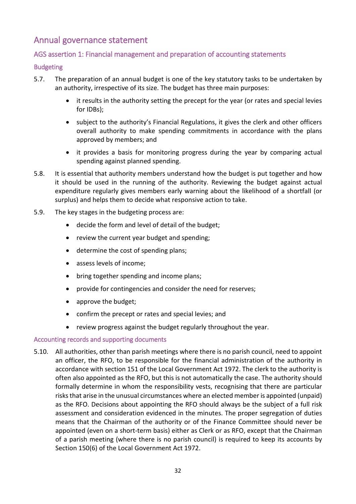# <span id="page-31-0"></span>Annual governance statement

## <span id="page-31-1"></span>AGS assertion 1: Financial management and preparation of accounting statements

## <span id="page-31-2"></span>Budgeting

- 5.7. The preparation of an annual budget is one of the key statutory tasks to be undertaken by an authority, irrespective of its size. The budget has three main purposes:
	- it results in the authority setting the precept for the year (or rates and special levies for IDBs);
	- subject to the authority's Financial Regulations, it gives the clerk and other officers overall authority to make spending commitments in accordance with the plans approved by members; and
	- it provides a basis for monitoring progress during the year by comparing actual spending against planned spending.
- 5.8. It is essential that authority members understand how the budget is put together and how it should be used in the running of the authority. Reviewing the budget against actual expenditure regularly gives members early warning about the likelihood of a shortfall (or surplus) and helps them to decide what responsive action to take.
- 5.9. The key stages in the budgeting process are:
	- decide the form and level of detail of the budget;
	- review the current year budget and spending;
	- determine the cost of spending plans;
	- assess levels of income;
	- bring together spending and income plans;
	- provide for contingencies and consider the need for reserves;
	- approve the budget;
	- confirm the precept or rates and special levies; and
	- review progress against the budget regularly throughout the year.

## <span id="page-31-3"></span>Accounting records and supporting documents

5.10. All authorities, other than parish meetings where there is no parish council, need to appoint an officer, the RFO, to be responsible for the financial administration of the authority in accordance with section 151 of the Local Government Act 1972. The clerk to the authority is often also appointed as the RFO, but this is not automatically the case. The authority should formally determine in whom the responsibility vests, recognising that there are particular risks that arise in the unusual circumstances where an elected member is appointed (unpaid) as the RFO. Decisions about appointing the RFO should always be the subject of a full risk assessment and consideration evidenced in the minutes. The proper segregation of duties means that the Chairman of the authority or of the Finance Committee should never be appointed (even on a short-term basis) either as Clerk or as RFO, except that the Chairman of a parish meeting (where there is no parish council) is required to keep its accounts by Section 150(6) of the Local Government Act 1972.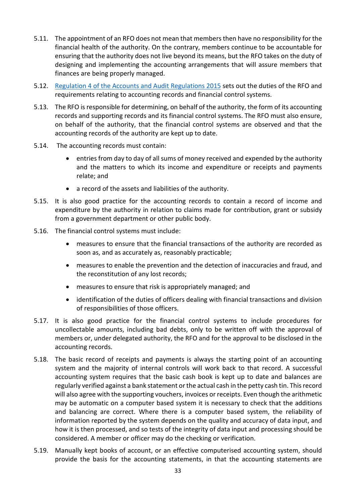- 5.11. The appointment of an RFO does not mean that members then have no responsibility for the financial health of the authority. On the contrary, members continue to be accountable for ensuring that the authority does not live beyond its means, but the RFO takes on the duty of designing and implementing the accounting arrangements that will assure members that finances are being properly managed.
- 5.12. [Regulation 4 of the Accounts and Audit Regulations 2015](http://www.legislation.gov.uk/uksi/2015/234/regulation/4/made) sets out the duties of the RFO and requirements relating to accounting records and financial control systems.
- 5.13. The RFO is responsible for determining, on behalf of the authority, the form of its accounting records and supporting records and its financial control systems. The RFO must also ensure, on behalf of the authority, that the financial control systems are observed and that the accounting records of the authority are kept up to date.
- 5.14. The accounting records must contain:
	- entries from day to day of all sums of money received and expended by the authority and the matters to which its income and expenditure or receipts and payments relate; and
	- a record of the assets and liabilities of the authority.
- 5.15. It is also good practice for the accounting records to contain a record of income and expenditure by the authority in relation to claims made for contribution, grant or subsidy from a government department or other public body.
- 5.16. The financial control systems must include:
	- measures to ensure that the financial transactions of the authority are recorded as soon as, and as accurately as, reasonably practicable;
	- measures to enable the prevention and the detection of inaccuracies and fraud, and the reconstitution of any lost records;
	- measures to ensure that risk is appropriately managed; and
	- identification of the duties of officers dealing with financial transactions and division of responsibilities of those officers.
- 5.17. It is also good practice for the financial control systems to include procedures for uncollectable amounts, including bad debts, only to be written off with the approval of members or, under delegated authority, the RFO and for the approval to be disclosed in the accounting records.
- 5.18. The basic record of receipts and payments is always the starting point of an accounting system and the majority of internal controls will work back to that record. A successful accounting system requires that the basic cash book is kept up to date and balances are regularly verified against a bank statement or the actual cash in the petty cash tin. This record will also agree with the supporting vouchers, invoices or receipts. Even though the arithmetic may be automatic on a computer based system it is necessary to check that the additions and balancing are correct. Where there is a computer based system, the reliability of information reported by the system depends on the quality and accuracy of data input, and how it is then processed, and so tests of the integrity of data input and processing should be considered. A member or officer may do the checking or verification.
- 5.19. Manually kept books of account, or an effective computerised accounting system, should provide the basis for the accounting statements, in that the accounting statements are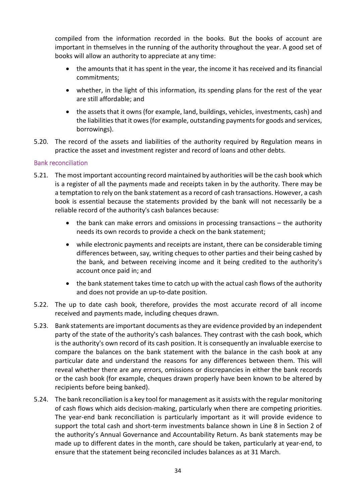compiled from the information recorded in the books. But the books of account are important in themselves in the running of the authority throughout the year. A good set of books will allow an authority to appreciate at any time:

- the amounts that it has spent in the year, the income it has received and its financial commitments;
- whether, in the light of this information, its spending plans for the rest of the year are still affordable; and
- the assets that it owns (for example, land, buildings, vehicles, investments, cash) and the liabilities that it owes (for example, outstanding payments for goods and services, borrowings).
- 5.20. The record of the assets and liabilities of the authority required by Regulation means in practice the asset and investment register and record of loans and other debts.

## <span id="page-33-0"></span>Bank reconciliation

- 5.21. The most important accounting record maintained by authorities will be the cash book which is a register of all the payments made and receipts taken in by the authority. There may be a temptation to rely on the bank statement as a record of cash transactions. However, a cash book is essential because the statements provided by the bank will not necessarily be a reliable record of the authority's cash balances because:
	- the bank can make errors and omissions in processing transactions the authority needs its own records to provide a check on the bank statement;
	- while electronic payments and receipts are instant, there can be considerable timing differences between, say, writing cheques to other parties and their being cashed by the bank, and between receiving income and it being credited to the authority's account once paid in; and
	- the bank statement takes time to catch up with the actual cash flows of the authority and does not provide an up-to-date position.
- 5.22. The up to date cash book, therefore, provides the most accurate record of all income received and payments made, including cheques drawn.
- 5.23. Bank statements are important documents as they are evidence provided by an independent party of the state of the authority's cash balances. They contrast with the cash book, which is the authority's own record of its cash position. It is consequently an invaluable exercise to compare the balances on the bank statement with the balance in the cash book at any particular date and understand the reasons for any differences between them. This will reveal whether there are any errors, omissions or discrepancies in either the bank records or the cash book (for example, cheques drawn properly have been known to be altered by recipients before being banked).
- 5.24. The bank reconciliation is a key tool for management as it assists with the regular monitoring of cash flows which aids decision-making, particularly when there are competing priorities. The year-end bank reconciliation is particularly important as it will provide evidence to support the total cash and short-term investments balance shown in Line 8 in Section 2 of the authority's Annual Governance and Accountability Return. As bank statements may be made up to different dates in the month, care should be taken, particularly at year-end, to ensure that the statement being reconciled includes balances as at 31 March.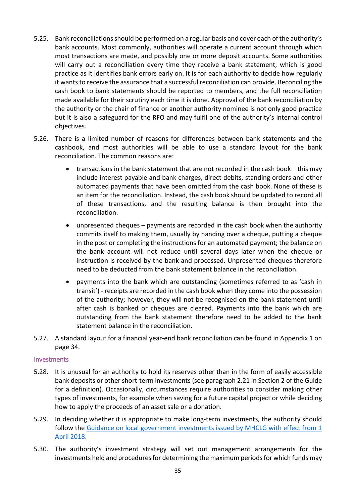- 5.25. Bank reconciliations should be performed on a regular basis and cover each of the authority's bank accounts. Most commonly, authorities will operate a current account through which most transactions are made, and possibly one or more deposit accounts. Some authorities will carry out a reconciliation every time they receive a bank statement, which is good practice as it identifies bank errors early on. It is for each authority to decide how regularly it wants to receive the assurance that a successful reconciliation can provide. Reconciling the cash book to bank statements should be reported to members, and the full reconciliation made available for their scrutiny each time it is done. Approval of the bank reconciliation by the authority or the chair of finance or another authority nominee is not only good practice but it is also a safeguard for the RFO and may fulfil one of the authority's internal control objectives.
- 5.26. There is a limited number of reasons for differences between bank statements and the cashbook, and most authorities will be able to use a standard layout for the bank reconciliation. The common reasons are:
	- transactions in the bank statement that are not recorded in the cash book this may include interest payable and bank charges, direct debits, standing orders and other automated payments that have been omitted from the cash book. None of these is an item for the reconciliation. Instead, the cash book should be updated to record all of these transactions, and the resulting balance is then brought into the reconciliation.
	- unpresented cheques payments are recorded in the cash book when the authority commits itself to making them, usually by handing over a cheque, putting a cheque in the post or completing the instructions for an automated payment; the balance on the bank account will not reduce until several days later when the cheque or instruction is received by the bank and processed. Unpresented cheques therefore need to be deducted from the bank statement balance in the reconciliation.
	- payments into the bank which are outstanding (sometimes referred to as 'cash in transit') - receipts are recorded in the cash book when they come into the possession of the authority; however, they will not be recognised on the bank statement until after cash is banked or cheques are cleared. Payments into the bank which are outstanding from the bank statement therefore need to be added to the bank statement balance in the reconciliation.
- 5.27. A standard layout for a financial year-end bank reconciliation can be found in Appendix 1 on page 34.

## <span id="page-34-0"></span>Investments

- 5.28. It is unusual for an authority to hold its reserves other than in the form of easily accessible bank deposits or other short-term investments (see paragraph 2.21 in Section 2 of the Guide for a definition). Occasionally, circumstances require authorities to consider making other types of investments, for example when saving for a future capital project or while deciding how to apply the proceeds of an asset sale or a donation.
- 5.29. In deciding whether it is appropriate to make long-term investments, the authority should follow the [Guidance on local government investments issued by MHCLG with effect from 1](https://www.gov.uk/government/uploads/system/uploads/attachment_data/file/320206/1501971.pdf)  [April 2018.](https://www.gov.uk/government/uploads/system/uploads/attachment_data/file/320206/1501971.pdf)
- 5.30. The authority's investment strategy will set out management arrangements for the investments held and procedures for determining the maximum periods for which funds may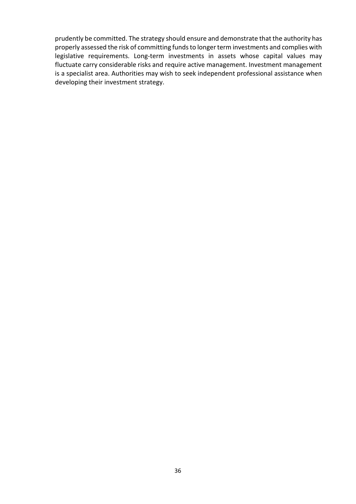prudently be committed. The strategy should ensure and demonstrate that the authority has properly assessed the risk of committing funds to longer term investments and complies with legislative requirements. Long-term investments in assets whose capital values may fluctuate carry considerable risks and require active management. Investment management is a specialist area. Authorities may wish to seek independent professional assistance when developing their investment strategy.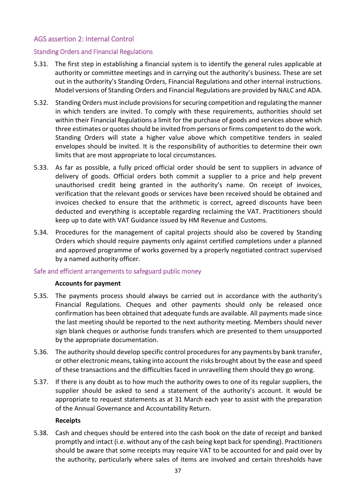## <span id="page-36-0"></span>AGS assertion 2: Internal Control

## <span id="page-36-1"></span>Standing Orders and Financial Regulations

- 5.31. The first step in establishing a financial system is to identify the general rules applicable at authority or committee meetings and in carrying out the authority's business. These are set out in the authority's Standing Orders, Financial Regulations and other internal instructions. Model versions of Standing Orders and Financial Regulations are provided by NALC and ADA.
- 5.32. Standing Orders must include provisions for securing competition and regulating the manner in which tenders are invited. To comply with these requirements, authorities should set within their Financial Regulations a limit for the purchase of goods and services above which three estimates or quotes should be invited from persons or firms competent to do the work. Standing Orders will state a higher value above which competitive tenders in sealed envelopes should be invited. It is the responsibility of authorities to determine their own limits that are most appropriate to local circumstances.
- 5.33. As far as possible, a fully priced official order should be sent to suppliers in advance of delivery of goods. Official orders both commit a supplier to a price and help prevent unauthorised credit being granted in the authority's name. On receipt of invoices, verification that the relevant goods or services have been received should be obtained and invoices checked to ensure that the arithmetic is correct, agreed discounts have been deducted and everything is acceptable regarding reclaiming the VAT. Practitioners should keep up to date with VAT Guidance issued by HM Revenue and Customs.
- 5.34. Procedures for the management of capital projects should also be covered by Standing Orders which should require payments only against certified completions under a planned and approved programme of works governed by a properly negotiated contract supervised by a named authority officer.

## <span id="page-36-2"></span>Safe and efficient arrangements to safeguard public money

## **Accounts for payment**

- 5.35. The payments process should always be carried out in accordance with the authority's Financial Regulations. Cheques and other payments should only be released once confirmation has been obtained that adequate funds are available. All payments made since the last meeting should be reported to the next authority meeting. Members should never sign blank cheques or authorise funds transfers which are presented to them unsupported by the appropriate documentation.
- 5.36. The authority should develop specific control procedures for any payments by bank transfer, or other electronic means, taking into account the risks brought about by the ease and speed of these transactions and the difficulties faced in unravelling them should they go wrong.
- 5.37. If there is any doubt as to how much the authority owes to one of its regular suppliers, the supplier should be asked to send a statement of the authority's account. It would be appropriate to request statements as at 31 March each year to assist with the preparation of the Annual Governance and Accountability Return.

## **Receipts**

5.38. Cash and cheques should be entered into the cash book on the date of receipt and banked promptly and intact (i.e. without any of the cash being kept back for spending). Practitioners should be aware that some receipts may require VAT to be accounted for and paid over by the authority, particularly where sales of items are involved and certain thresholds have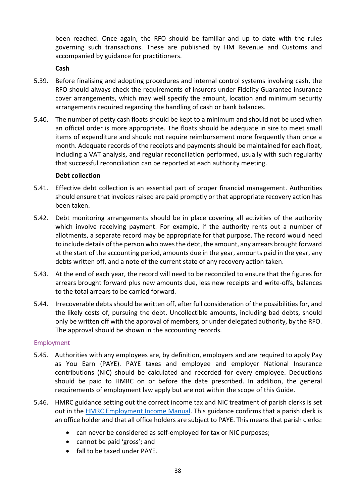been reached. Once again, the RFO should be familiar and up to date with the rules governing such transactions. These are published by HM Revenue and Customs and accompanied by guidance for practitioners.

## **Cash**

- 5.39. Before finalising and adopting procedures and internal control systems involving cash, the RFO should always check the requirements of insurers under Fidelity Guarantee insurance cover arrangements, which may well specify the amount, location and minimum security arrangements required regarding the handling of cash or bank balances.
- 5.40. The number of petty cash floats should be kept to a minimum and should not be used when an official order is more appropriate. The floats should be adequate in size to meet small items of expenditure and should not require reimbursement more frequently than once a month. Adequate records of the receipts and payments should be maintained for each float, including a VAT analysis, and regular reconciliation performed, usually with such regularity that successful reconciliation can be reported at each authority meeting.

## **Debt collection**

- 5.41. Effective debt collection is an essential part of proper financial management. Authorities should ensure that invoices raised are paid promptly or that appropriate recovery action has been taken.
- 5.42. Debt monitoring arrangements should be in place covering all activities of the authority which involve receiving payment. For example, if the authority rents out a number of allotments, a separate record may be appropriate for that purpose. The record would need to include details of the person who owes the debt, the amount, any arrears brought forward at the start of the accounting period, amounts due in the year, amounts paid in the year, any debts written off, and a note of the current state of any recovery action taken.
- 5.43. At the end of each year, the record will need to be reconciled to ensure that the figures for arrears brought forward plus new amounts due, less new receipts and write-offs, balances to the total arrears to be carried forward.
- 5.44. Irrecoverable debts should be written off, after full consideration of the possibilities for, and the likely costs of, pursuing the debt. Uncollectible amounts, including bad debts, should only be written off with the approval of members, or under delegated authority, by the RFO. The approval should be shown in the accounting records.

## <span id="page-37-0"></span>Employment

- 5.45. Authorities with any employees are, by definition, employers and are required to apply Pay as You Earn (PAYE). PAYE taxes and employee and employer National Insurance contributions (NIC) should be calculated and recorded for every employee. Deductions should be paid to HMRC on or before the date prescribed. In addition, the general requirements of employment law apply but are not within the scope of this Guide.
- 5.46. HMRC guidance setting out the correct income tax and NIC treatment of parish clerks is set out in the [HMRC Employment Income Manual.](https://www.gov.uk/hmrc-internal-manuals/employment-income-manual/eim67300) This guidance confirms that a parish clerk is an office holder and that all office holders are subject to PAYE. This means that parish clerks:
	- can never be considered as self-employed for tax or NIC purposes;
	- cannot be paid 'gross'; and
	- fall to be taxed under PAYE.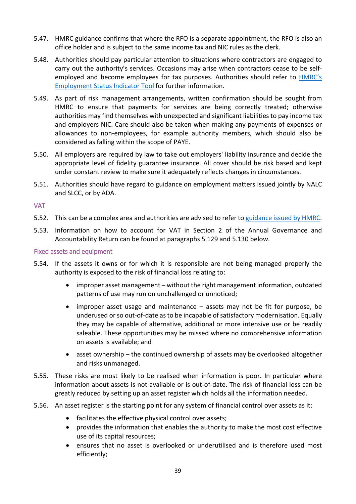- 5.47. HMRC guidance confirms that where the RFO is a separate appointment, the RFO is also an office holder and is subject to the same income tax and NIC rules as the clerk.
- 5.48. Authorities should pay particular attention to situations where contractors are engaged to carry out the authority's services. Occasions may arise when contractors cease to be selfemployed and become employees for tax purposes. Authorities should refer to [HMRC's](http://tools.hmrc.gov.uk/esi/screen/ESI/en-GB/summary?user=guest)  [Employment Status Indicator Tool](http://tools.hmrc.gov.uk/esi/screen/ESI/en-GB/summary?user=guest) for further information.
- 5.49. As part of risk management arrangements, written confirmation should be sought from HMRC to ensure that payments for services are being correctly treated; otherwise authorities may find themselves with unexpected and significant liabilities to pay income tax and employers NIC. Care should also be taken when making any payments of expenses or allowances to non-employees, for example authority members, which should also be considered as falling within the scope of PAYE.
- 5.50. All employers are required by law to take out employers' liability insurance and decide the appropriate level of fidelity guarantee insurance. All cover should be risk based and kept under constant review to make sure it adequately reflects changes in circumstances.
- 5.51. Authorities should have regard to guidance on employment matters issued jointly by NALC and SLCC, or by ADA.

<span id="page-38-0"></span>VAT

- 5.52. This can be a complex area and authorities are advised to refer to [guidance issued by HMRC.](https://www.gov.uk/government/publications/vat-notice-749-local-authorities-and-similar-bodies/vat-notice-749-local-authorities-and-similar-bodies)
- 5.53. Information on how to account for VAT in Section 2 of the Annual Governance and Accountability Return can be found at paragraphs 5.129 and 5.130 below.

## <span id="page-38-1"></span>Fixed assets and equipment

- 5.54. If the assets it owns or for which it is responsible are not being managed properly the authority is exposed to the risk of financial loss relating to:
	- improper asset management without the right management information, outdated patterns of use may run on unchallenged or unnoticed;
	- $improper$  asset usage and maintenance  $-$  assets may not be fit for purpose, be underused or so out-of-date as to be incapable of satisfactory modernisation. Equally they may be capable of alternative, additional or more intensive use or be readily saleable. These opportunities may be missed where no comprehensive information on assets is available; and
	- asset ownership the continued ownership of assets may be overlooked altogether and risks unmanaged.
- 5.55. These risks are most likely to be realised when information is poor. In particular where information about assets is not available or is out-of-date. The risk of financial loss can be greatly reduced by setting up an asset register which holds all the information needed.
- 5.56. An asset register is the starting point for any system of financial control over assets as it:
	- facilitates the effective physical control over assets;
	- provides the information that enables the authority to make the most cost effective use of its capital resources;
	- ensures that no asset is overlooked or underutilised and is therefore used most efficiently;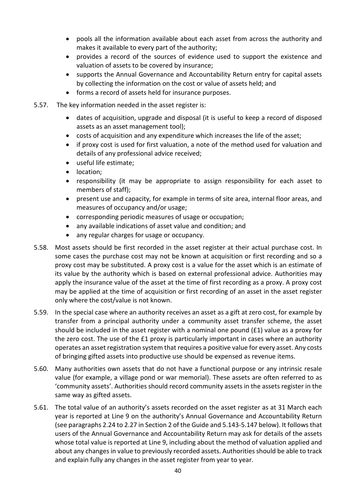- pools all the information available about each asset from across the authority and makes it available to every part of the authority;
- provides a record of the sources of evidence used to support the existence and valuation of assets to be covered by insurance;
- supports the Annual Governance and Accountability Return entry for capital assets by collecting the information on the cost or value of assets held; and
- forms a record of assets held for insurance purposes.
- 5.57. The key information needed in the asset register is:
	- dates of acquisition, upgrade and disposal (it is useful to keep a record of disposed assets as an asset management tool);
	- costs of acquisition and any expenditure which increases the life of the asset;
	- if proxy cost is used for first valuation, a note of the method used for valuation and details of any professional advice received;
	- useful life estimate;
	- location;
	- responsibility (it may be appropriate to assign responsibility for each asset to members of staff);
	- present use and capacity, for example in terms of site area, internal floor areas, and measures of occupancy and/or usage;
	- corresponding periodic measures of usage or occupation;
	- any available indications of asset value and condition; and
	- any regular charges for usage or occupancy.
- 5.58. Most assets should be first recorded in the asset register at their actual purchase cost. In some cases the purchase cost may not be known at acquisition or first recording and so a proxy cost may be substituted. A proxy cost is a value for the asset which is an estimate of its value by the authority which is based on external professional advice. Authorities may apply the insurance value of the asset at the time of first recording as a proxy. A proxy cost may be applied at the time of acquisition or first recording of an asset in the asset register only where the cost/value is not known.
- 5.59. In the special case where an authority receives an asset as a gift at zero cost, for example by transfer from a principal authority under a community asset transfer scheme, the asset should be included in the asset register with a nominal one pound (£1) value as a proxy for the zero cost. The use of the £1 proxy is particularly important in cases where an authority operates an asset registration system that requires a positive value for every asset. Any costs of bringing gifted assets into productive use should be expensed as revenue items.
- 5.60. Many authorities own assets that do not have a functional purpose or any intrinsic resale value (for example, a village pond or war memorial). These assets are often referred to as 'community assets'. Authorities should record community assets in the assets register in the same way as gifted assets.
- 5.61. The total value of an authority's assets recorded on the asset register as at 31 March each year is reported at Line 9 on the authority's Annual Governance and Accountability Return (see paragraphs 2.24 to 2.27 in Section 2 of the Guide and 5.143-5.147 below). It follows that users of the Annual Governance and Accountability Return may ask for details of the assets whose total value is reported at Line 9, including about the method of valuation applied and about any changes in value to previously recorded assets. Authorities should be able to track and explain fully any changes in the asset register from year to year.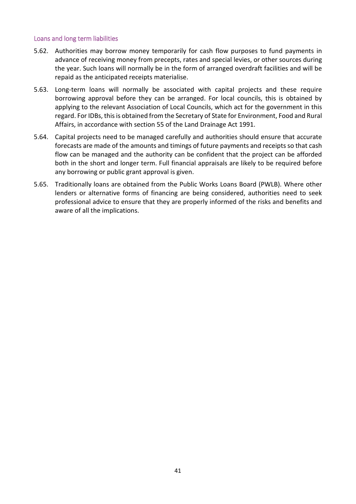## <span id="page-40-0"></span>Loans and long term liabilities

- 5.62. Authorities may borrow money temporarily for cash flow purposes to fund payments in advance of receiving money from precepts, rates and special levies, or other sources during the year. Such loans will normally be in the form of arranged overdraft facilities and will be repaid as the anticipated receipts materialise.
- 5.63. Long-term loans will normally be associated with capital projects and these require borrowing approval before they can be arranged. For local councils, this is obtained by applying to the relevant Association of Local Councils, which act for the government in this regard. For IDBs, this is obtained from the Secretary of State for Environment, Food and Rural Affairs, in accordance with section 55 of the Land Drainage Act 1991.
- 5.64. Capital projects need to be managed carefully and authorities should ensure that accurate forecasts are made of the amounts and timings of future payments and receipts so that cash flow can be managed and the authority can be confident that the project can be afforded both in the short and longer term. Full financial appraisals are likely to be required before any borrowing or public grant approval is given.
- 5.65. Traditionally loans are obtained from the Public Works Loans Board (PWLB). Where other lenders or alternative forms of financing are being considered, authorities need to seek professional advice to ensure that they are properly informed of the risks and benefits and aware of all the implications.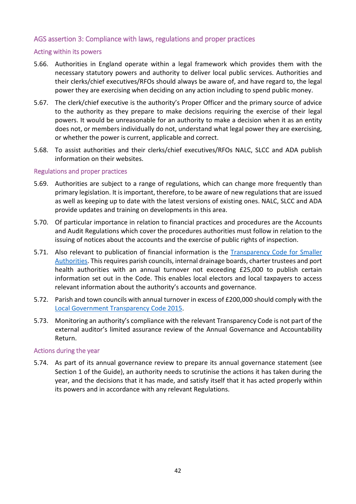## <span id="page-41-0"></span>AGS assertion 3: Compliance with laws, regulations and proper practices

## <span id="page-41-1"></span>Acting within its powers

- 5.66. Authorities in England operate within a legal framework which provides them with the necessary statutory powers and authority to deliver local public services. Authorities and their clerks/chief executives/RFOs should always be aware of, and have regard to, the legal power they are exercising when deciding on any action including to spend public money.
- 5.67. The clerk/chief executive is the authority's Proper Officer and the primary source of advice to the authority as they prepare to make decisions requiring the exercise of their legal powers. It would be unreasonable for an authority to make a decision when it as an entity does not, or members individually do not, understand what legal power they are exercising, or whether the power is current, applicable and correct.
- 5.68. To assist authorities and their clerks/chief executives/RFOs NALC, SLCC and ADA publish information on their websites.

## <span id="page-41-2"></span>Regulations and proper practices

- 5.69. Authorities are subject to a range of regulations, which can change more frequently than primary legislation. It is important, therefore, to be aware of new regulations that are issued as well as keeping up to date with the latest versions of existing ones. NALC, SLCC and ADA provide updates and training on developments in this area.
- 5.70. Of particular importance in relation to financial practices and procedures are the Accounts and Audit Regulations which cover the procedures authorities must follow in relation to the issuing of notices about the accounts and the exercise of public rights of inspection.
- 5.71. Also relevant to publication of financial information is the [Transparency Code for Smaller](https://www.gov.uk/government/publications/transparency-code-for-smaller-authorities)  [Authorities.](https://www.gov.uk/government/publications/transparency-code-for-smaller-authorities) This requires parish councils, internal drainage boards, charter trustees and port health authorities with an annual turnover not exceeding £25,000 to publish certain information set out in the Code. This enables local electors and local taxpayers to access relevant information about the authority's accounts and governance.
- 5.72. Parish and town councils with annual turnover in excess of £200,000 should comply with the [Local Government Transparency Code 2015.](https://www.gov.uk/government/publications/local-government-transparency-code-2015)
- 5.73. Monitoring an authority's compliance with the relevant Transparency Code is not part of the external auditor's limited assurance review of the Annual Governance and Accountability Return.

## <span id="page-41-3"></span>Actions during the year

5.74. As part of its annual governance review to prepare its annual governance statement (see Section 1 of the Guide), an authority needs to scrutinise the actions it has taken during the year, and the decisions that it has made, and satisfy itself that it has acted properly within its powers and in accordance with any relevant Regulations.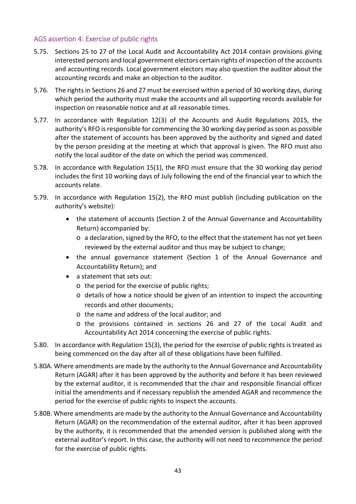## <span id="page-42-0"></span>AGS assertion 4: Exercise of public rights

- 5.75. Sections 25 to 27 of the Local Audit and Accountability Act 2014 contain provisions giving interested persons and local government electors certain rights of inspection of the accounts and accounting records. Local government electors may also question the auditor about the accounting records and make an objection to the auditor.
- 5.76. The rights in Sections 26 and 27 must be exercised within a period of 30 working days, during which period the authority must make the accounts and all supporting records available for inspection on reasonable notice and at all reasonable times.
- 5.77. In accordance with Regulation 12(3) of the Accounts and Audit Regulations 2015, the authority's RFO is responsible for commencing the 30 working day period as soon as possible after the statement of accounts has been approved by the authority and signed and dated by the person presiding at the meeting at which that approval is given. The RFO must also notify the local auditor of the date on which the period was commenced.
- 5.78. In accordance with Regulation 15(1), the RFO must ensure that the 30 working day period includes the first 10 working days of July following the end of the financial year to which the accounts relate.
- 5.79. In accordance with Regulation 15(2), the RFO must publish (including publication on the authority's website):
	- the statement of accounts (Section 2 of the Annual Governance and Accountability Return) accompanied by:
		- o a declaration, signed by the RFO, to the effect that the statement has not yet been reviewed by the external auditor and thus may be subject to change;
	- the annual governance statement (Section 1 of the Annual Governance and Accountability Return); and
	- a statement that sets out:
		- o the period for the exercise of public rights;
		- o details of how a notice should be given of an intention to inspect the accounting records and other documents;
		- o the name and address of the local auditor; and
		- o the provisions contained in sections 26 and 27 of the Local Audit and Accountability Act 2014 concerning the exercise of public rights.
- 5.80. In accordance with Regulation 15(3), the period for the exercise of public rights is treated as being commenced on the day after all of these obligations have been fulfilled.
- 5.80A. Where amendments are made by the authority to the Annual Governance and Accountability Return (AGAR) after it has been approved by the authority and before it has been reviewed by the external auditor, it is recommended that the chair and responsible financial officer initial the amendments and if necessary republish the amended AGAR and recommence the period for the exercise of public rights to inspect the accounts.
- 5.80B. Where amendments are made by the authority to the Annual Governance and Accountability Return (AGAR) on the recommendation of the external auditor, after it has been approved by the authority, it is recommended that the amended version is published along with the external auditor's report. In this case, the authority will not need to recommence the period for the exercise of public rights.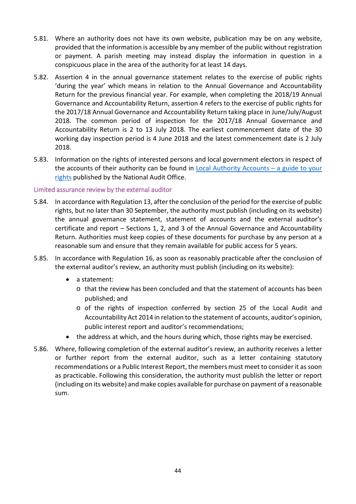- 5.81. Where an authority does not have its own website, publication may be on any website, provided that the information is accessible by any member of the public without registration or payment. A parish meeting may instead display the information in question in a conspicuous place in the area of the authority for at least 14 days.
- 5.82. Assertion 4 in the annual governance statement relates to the exercise of public rights 'during the year' which means in relation to the Annual Governance and Accountability Return for the previous financial year. For example, when completing the 2018/19 Annual Governance and Accountability Return, assertion 4 refers to the exercise of public rights for the 2017/18 Annual Governance and Accountability Return taking place in June/July/August 2018. The common period of inspection for the 2017/18 Annual Governance and Accountability Return is 2 to 13 July 2018. The earliest commencement date of the 30 working day inspection period is 4 June 2018 and the latest commencement date is 2 July 2018.
- 5.83. Information on the rights of interested persons and local government electors in respect of the accounts of their authority can be found in Local Authority Accounts  $-$  a guide to your [rights](https://www.nao.org.uk/code-audit-practice/wp-content/uploads/sites/29/2015/03/Council-accounts-a-guide-to-your-rights.pdf) published by the National Audit Office.

## <span id="page-43-0"></span>Limited assurance review by the external auditor

- 5.84. In accordance with Regulation 13, after the conclusion of the period for the exercise of public rights, but no later than 30 September, the authority must publish (including on its website) the annual governance statement, statement of accounts and the external auditor's certificate and report – Sections 1, 2, and 3 of the Annual Governance and Accountability Return. Authorities must keep copies of these documents for purchase by any person at a reasonable sum and ensure that they remain available for public access for 5 years.
- 5.85. In accordance with Regulation 16, as soon as reasonably practicable after the conclusion of the external auditor's review, an authority must publish (including on its website):
	- a statement:
		- o that the review has been concluded and that the statement of accounts has been published; and
		- o of the rights of inspection conferred by section 25 of the Local Audit and Accountability Act 2014 in relation to the statement of accounts, auditor's opinion, public interest report and auditor's recommendations;
	- the address at which, and the hours during which, those rights may be exercised.
- 5.86. Where, following completion of the external auditor's review, an authority receives a letter or further report from the external auditor, such as a letter containing statutory recommendations or a Public Interest Report, the members must meet to consider it as soon as practicable. Following this consideration, the authority must publish the letter or report (including on its website) and make copies available for purchase on payment of a reasonable sum.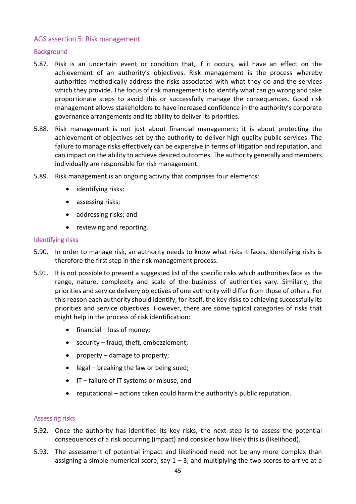## <span id="page-44-0"></span>AGS assertion 5: Risk management

## <span id="page-44-1"></span>**Background**

- 5.87. Risk is an uncertain event or condition that, if it occurs, will have an effect on the achievement of an authority's objectives. Risk management is the process whereby authorities methodically address the risks associated with what they do and the services which they provide. The focus of risk management is to identify what can go wrong and take proportionate steps to avoid this or successfully manage the consequences. Good risk management allows stakeholders to have increased confidence in the authority's corporate governance arrangements and its ability to deliver its priorities.
- 5.88. Risk management is not just about financial management; it is about protecting the achievement of objectives set by the authority to deliver high quality public services. The failure to manage risks effectively can be expensive in terms of litigation and reputation, and can impact on the ability to achieve desired outcomes. The authority generally and members individually are responsible for risk management.
- 5.89. Risk management is an ongoing activity that comprises four elements:
	- identifying risks;
	- assessing risks;
	- addressing risks; and
	- reviewing and reporting.

## <span id="page-44-2"></span>Identifying risks

- 5.90. In order to manage risk, an authority needs to know what risks it faces. Identifying risks is therefore the first step in the risk management process.
- 5.91. It is not possible to present a suggested list of the specific risks which authorities face as the range, nature, complexity and scale of the business of authorities vary. Similarly, the priorities and service delivery objectives of one authority will differ from those of others. For this reason each authority should identify, for itself, the key risks to achieving successfully its priorities and service objectives. However, there are some typical categories of risks that might help in the process of risk identification:
	- financial loss of money;
	- security fraud, theft, embezzlement;
	- property damage to property;
	- legal breaking the law or being sued;
	- IT failure of IT systems or misuse; and
	- reputational actions taken could harm the authority's public reputation.

## <span id="page-44-3"></span>Assessing risks

- 5.92. Once the authority has identified its key risks, the next step is to assess the potential consequences of a risk occurring (impact) and consider how likely this is (likelihood).
- 5.93. The assessment of potential impact and likelihood need not be any more complex than assigning a simple numerical score, say  $1 - 3$ , and multiplying the two scores to arrive at a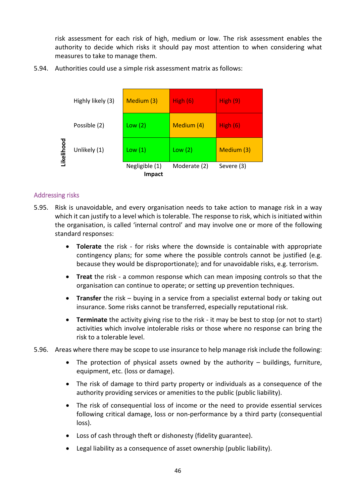risk assessment for each risk of high, medium or low. The risk assessment enables the authority to decide which risks it should pay most attention to when considering what measures to take to manage them.

5.94. Authorities could use a simple risk assessment matrix as follows:

|           | Highly likely (3) | High $(6)$<br>Medium (3)        |              | High(9)    |
|-----------|-------------------|---------------------------------|--------------|------------|
| ikelihood | Possible (2)      | Medium (4)<br>Low (2)           |              | High $(6)$ |
|           | Unlikely (1)      | Low(1)                          | Low(2)       | Medium (3) |
|           |                   | Negligible (1)<br><b>Impact</b> | Moderate (2) | Severe (3) |

## <span id="page-45-0"></span>Addressing risks

- 5.95. Risk is unavoidable, and every organisation needs to take action to manage risk in a way which it can justify to a level which is tolerable. The response to risk, which is initiated within the organisation, is called 'internal control' and may involve one or more of the following standard responses:
	- **Tolerate** the risk for risks where the downside is containable with appropriate contingency plans; for some where the possible controls cannot be justified (e.g. because they would be disproportionate); and for unavoidable risks, e.g. terrorism.
	- **Treat** the risk a common response which can mean imposing controls so that the organisation can continue to operate; or setting up prevention techniques.
	- **Transfer** the risk buying in a service from a specialist external body or taking out insurance. Some risks cannot be transferred, especially reputational risk.
	- **Terminate** the activity giving rise to the risk it may be best to stop (or not to start) activities which involve intolerable risks or those where no response can bring the risk to a tolerable level.
- 5.96. Areas where there may be scope to use insurance to help manage risk include the following:
	- The protection of physical assets owned by the authority buildings, furniture, equipment, etc. (loss or damage).
	- The risk of damage to third party property or individuals as a consequence of the authority providing services or amenities to the public (public liability).
	- The risk of consequential loss of income or the need to provide essential services following critical damage, loss or non-performance by a third party (consequential loss).
	- Loss of cash through theft or dishonesty (fidelity guarantee).
	- Legal liability as a consequence of asset ownership (public liability).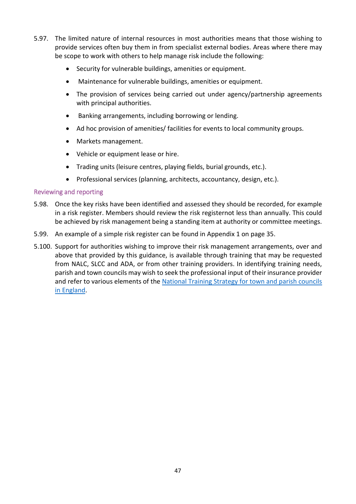- 5.97. The limited nature of internal resources in most authorities means that those wishing to provide services often buy them in from specialist external bodies. Areas where there may be scope to work with others to help manage risk include the following:
	- Security for vulnerable buildings, amenities or equipment.
	- Maintenance for vulnerable buildings, amenities or equipment.
	- The provision of services being carried out under agency/partnership agreements with principal authorities.
	- Banking arrangements, including borrowing or lending.
	- Ad hoc provision of amenities/ facilities for events to local community groups.
	- Markets management.
	- Vehicle or equipment lease or hire.
	- Trading units (leisure centres, playing fields, burial grounds, etc.).
	- Professional services (planning, architects, accountancy, design, etc.).

## <span id="page-46-0"></span>Reviewing and reporting

- 5.98. Once the key risks have been identified and assessed they should be recorded, for example in a risk register. Members should review the risk registernot less than annually. This could be achieved by risk management being a standing item at authority or committee meetings.
- 5.99. An example of a simple risk register can be found in Appendix 1 on page 35.
- 5.100. Support for authorities wishing to improve their risk management arrangements, over and above that provided by this guidance, is available through training that may be requested from NALC, SLCC and ADA, or from other training providers. In identifying training needs, parish and town councils may wish to seek the professional input of their insurance provider and refer to various elements of the National Training Strategy for town and parish councils [in England.](http://www.slcc.co.uk/UserFiles/File/Training/NTS%20training%20BOOK.pdf)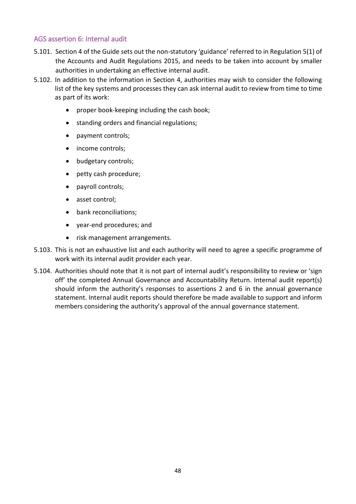## <span id="page-47-0"></span>AGS assertion 6: Internal audit

- 5.101. Section 4 of the Guide sets out the non-statutory 'guidance' referred to in Regulation 5(1) of the Accounts and Audit Regulations 2015, and needs to be taken into account by smaller authorities in undertaking an effective internal audit.
- 5.102. In addition to the information in Section 4, authorities may wish to consider the following list of the key systems and processes they can ask internal audit to review from time to time as part of its work:
	- proper book-keeping including the cash book;
	- standing orders and financial regulations;
	- payment controls;
	- income controls:
	- budgetary controls;
	- petty cash procedure;
	- payroll controls;
	- asset control;
	- bank reconciliations;
	- year-end procedures; and
	- risk management arrangements.
- 5.103. This is not an exhaustive list and each authority will need to agree a specific programme of work with its internal audit provider each year.
- 5.104. Authorities should note that it is not part of internal audit's responsibility to review or 'sign off' the completed Annual Governance and Accountability Return. Internal audit report(s) should inform the authority's responses to assertions 2 and 6 in the annual governance statement. Internal audit reports should therefore be made available to support and inform members considering the authority's approval of the annual governance statement.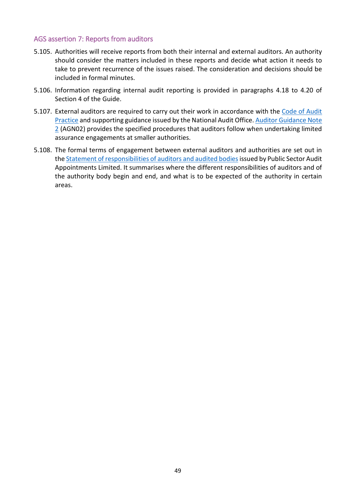## <span id="page-48-0"></span>AGS assertion 7: Reports from auditors

- 5.105. Authorities will receive reports from both their internal and external auditors. An authority should consider the matters included in these reports and decide what action it needs to take to prevent recurrence of the issues raised. The consideration and decisions should be included in formal minutes.
- 5.106. Information regarding internal audit reporting is provided in paragraphs 4.18 to 4.20 of Section 4 of the Guide.
- 5.107. External auditors are required to carry out their work in accordance with the [Code of Audit](https://www.nao.org.uk/code-audit-practice/wp-content/uploads/sites/29/2015/03/Final-Code-of-Audit-Practice.pdf)  [Practice](https://www.nao.org.uk/code-audit-practice/wp-content/uploads/sites/29/2015/03/Final-Code-of-Audit-Practice.pdf) and supporting guidance issued by the National Audit Office[. Auditor Guidance Note](https://www.nao.org.uk/code-audit-practice/wp-content/uploads/sites/29/2015/03/Auditor-Guidance-Note-02-Smaller-Authorities-Assurance-17-12-15.pdf)  [2](https://www.nao.org.uk/code-audit-practice/wp-content/uploads/sites/29/2015/03/Auditor-Guidance-Note-02-Smaller-Authorities-Assurance-17-12-15.pdf) (AGN02) provides the specified procedures that auditors follow when undertaking limited assurance engagements at smaller authorities.
- 5.108. The formal terms of engagement between external auditors and authorities are set out in the Statement of responsibilities of auditors and audited bodies issued by Public Sector Audit Appointments Limited. It summarises where the different responsibilities of auditors and of the authority body begin and end, and what is to be expected of the authority in certain areas.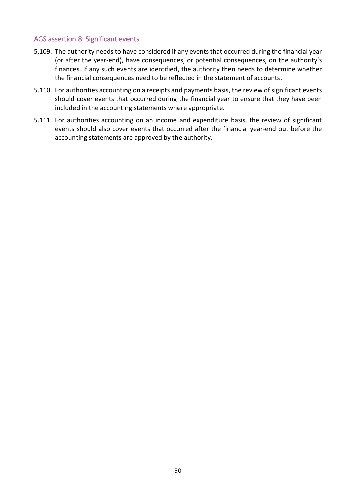## <span id="page-49-0"></span>AGS assertion 8: Significant events

- 5.109. The authority needs to have considered if any events that occurred during the financial year (or after the year-end), have consequences, or potential consequences, on the authority's finances. If any such events are identified, the authority then needs to determine whether the financial consequences need to be reflected in the statement of accounts.
- 5.110. For authorities accounting on a receipts and payments basis, the review of significant events should cover events that occurred during the financial year to ensure that they have been included in the accounting statements where appropriate.
- 5.111. For authorities accounting on an income and expenditure basis, the review of significant events should also cover events that occurred after the financial year-end but before the accounting statements are approved by the authority.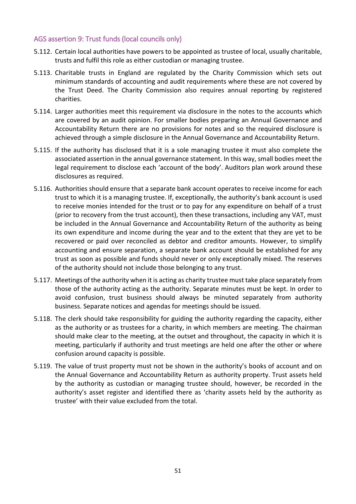## <span id="page-50-0"></span>AGS assertion 9: Trust funds (local councils only)

- 5.112. Certain local authorities have powers to be appointed as trustee of local, usually charitable, trusts and fulfil this role as either custodian or managing trustee.
- 5.113. Charitable trusts in England are regulated by the Charity Commission which sets out minimum standards of accounting and audit requirements where these are not covered by the Trust Deed. The Charity Commission also requires annual reporting by registered charities.
- 5.114. Larger authorities meet this requirement via disclosure in the notes to the accounts which are covered by an audit opinion. For smaller bodies preparing an Annual Governance and Accountability Return there are no provisions for notes and so the required disclosure is achieved through a simple disclosure in the Annual Governance and Accountability Return.
- 5.115. If the authority has disclosed that it is a sole managing trustee it must also complete the associated assertion in the annual governance statement. In this way, small bodies meet the legal requirement to disclose each 'account of the body'. Auditors plan work around these disclosures as required.
- 5.116. Authorities should ensure that a separate bank account operates to receive income for each trust to which it is a managing trustee. If, exceptionally, the authority's bank account is used to receive monies intended for the trust or to pay for any expenditure on behalf of a trust (prior to recovery from the trust account), then these transactions, including any VAT, must be included in the Annual Governance and Accountability Return of the authority as being its own expenditure and income during the year and to the extent that they are yet to be recovered or paid over reconciled as debtor and creditor amounts. However, to simplify accounting and ensure separation, a separate bank account should be established for any trust as soon as possible and funds should never or only exceptionally mixed. The reserves of the authority should not include those belonging to any trust.
- 5.117. Meetings of the authority when it is acting as charity trustee must take place separately from those of the authority acting as the authority. Separate minutes must be kept. In order to avoid confusion, trust business should always be minuted separately from authority business. Separate notices and agendas for meetings should be issued.
- 5.118. The clerk should take responsibility for guiding the authority regarding the capacity, either as the authority or as trustees for a charity, in which members are meeting. The chairman should make clear to the meeting, at the outset and throughout, the capacity in which it is meeting, particularly if authority and trust meetings are held one after the other or where confusion around capacity is possible.
- 5.119. The value of trust property must not be shown in the authority's books of account and on the Annual Governance and Accountability Return as authority property. Trust assets held by the authority as custodian or managing trustee should, however, be recorded in the authority's asset register and identified there as 'charity assets held by the authority as trustee' with their value excluded from the total.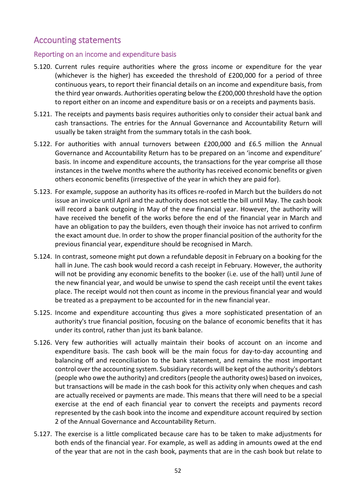## <span id="page-51-0"></span>Accounting statements

## <span id="page-51-1"></span>Reporting on an income and expenditure basis

- 5.120. Current rules require authorities where the gross income or expenditure for the year (whichever is the higher) has exceeded the threshold of £200,000 for a period of three continuous years, to report their financial details on an income and expenditure basis, from the third year onwards. Authorities operating below the £200,000 threshold have the option to report either on an income and expenditure basis or on a receipts and payments basis.
- 5.121. The receipts and payments basis requires authorities only to consider their actual bank and cash transactions. The entries for the Annual Governance and Accountability Return will usually be taken straight from the summary totals in the cash book.
- 5.122. For authorities with annual turnovers between £200,000 and £6.5 million the Annual Governance and Accountability Return has to be prepared on an 'income and expenditure' basis. In income and expenditure accounts, the transactions for the year comprise all those instances in the twelve months where the authority has received economic benefits or given others economic benefits (irrespective of the year in which they are paid for).
- 5.123. For example, suppose an authority has its offices re-roofed in March but the builders do not issue an invoice until April and the authority does not settle the bill until May. The cash book will record a bank outgoing in May of the new financial year. However, the authority will have received the benefit of the works before the end of the financial year in March and have an obligation to pay the builders, even though their invoice has not arrived to confirm the exact amount due. In order to show the proper financial position of the authority for the previous financial year, expenditure should be recognised in March.
- 5.124. In contrast, someone might put down a refundable deposit in February on a booking for the hall in June. The cash book would record a cash receipt in February. However, the authority will not be providing any economic benefits to the booker (i.e. use of the hall) until June of the new financial year, and would be unwise to spend the cash receipt until the event takes place. The receipt would not then count as income in the previous financial year and would be treated as a prepayment to be accounted for in the new financial year.
- 5.125. Income and expenditure accounting thus gives a more sophisticated presentation of an authority's true financial position, focusing on the balance of economic benefits that it has under its control, rather than just its bank balance.
- 5.126. Very few authorities will actually maintain their books of account on an income and expenditure basis. The cash book will be the main focus for day-to-day accounting and balancing off and reconciliation to the bank statement, and remains the most important control over the accounting system. Subsidiary records will be kept of the authority's debtors (people who owe the authority) and creditors (people the authority owes) based on invoices, but transactions will be made in the cash book for this activity only when cheques and cash are actually received or payments are made. This means that there will need to be a special exercise at the end of each financial year to convert the receipts and payments record represented by the cash book into the income and expenditure account required by section 2 of the Annual Governance and Accountability Return.
- 5.127. The exercise is a little complicated because care has to be taken to make adjustments for both ends of the financial year. For example, as well as adding in amounts owed at the end of the year that are not in the cash book, payments that are in the cash book but relate to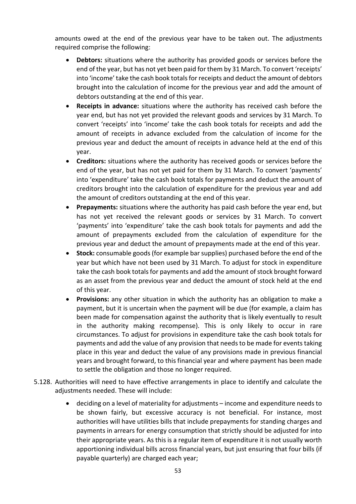amounts owed at the end of the previous year have to be taken out. The adjustments required comprise the following:

- **Debtors:** situations where the authority has provided goods or services before the end of the year, but has not yet been paid for them by 31 March. To convert 'receipts' into 'income' take the cash book totals for receipts and deduct the amount of debtors brought into the calculation of income for the previous year and add the amount of debtors outstanding at the end of this year.
- **Receipts in advance:** situations where the authority has received cash before the year end, but has not yet provided the relevant goods and services by 31 March. To convert 'receipts' into 'income' take the cash book totals for receipts and add the amount of receipts in advance excluded from the calculation of income for the previous year and deduct the amount of receipts in advance held at the end of this year.
- **Creditors:** situations where the authority has received goods or services before the end of the year, but has not yet paid for them by 31 March. To convert 'payments' into 'expenditure' take the cash book totals for payments and deduct the amount of creditors brought into the calculation of expenditure for the previous year and add the amount of creditors outstanding at the end of this year.
- **Prepayments:** situations where the authority has paid cash before the year end, but has not yet received the relevant goods or services by 31 March. To convert 'payments' into 'expenditure' take the cash book totals for payments and add the amount of prepayments excluded from the calculation of expenditure for the previous year and deduct the amount of prepayments made at the end of this year.
- **Stock:** consumable goods (for example bar supplies) purchased before the end of the year but which have not been used by 31 March. To adjust for stock in expenditure take the cash book totals for payments and add the amount of stock brought forward as an asset from the previous year and deduct the amount of stock held at the end of this year.
- **Provisions:** any other situation in which the authority has an obligation to make a payment, but it is uncertain when the payment will be due (for example, a claim has been made for compensation against the authority that is likely eventually to result in the authority making recompense). This is only likely to occur in rare circumstances. To adjust for provisions in expenditure take the cash book totals for payments and add the value of any provision that needs to be made for events taking place in this year and deduct the value of any provisions made in previous financial years and brought forward, to this financial year and where payment has been made to settle the obligation and those no longer required.
- 5.128. Authorities will need to have effective arrangements in place to identify and calculate the adjustments needed. These will include:
	- deciding on a level of materiality for adjustments income and expenditure needs to be shown fairly, but excessive accuracy is not beneficial. For instance, most authorities will have utilities bills that include prepayments for standing charges and payments in arrears for energy consumption that strictly should be adjusted for into their appropriate years. As this is a regular item of expenditure it is not usually worth apportioning individual bills across financial years, but just ensuring that four bills (if payable quarterly) are charged each year;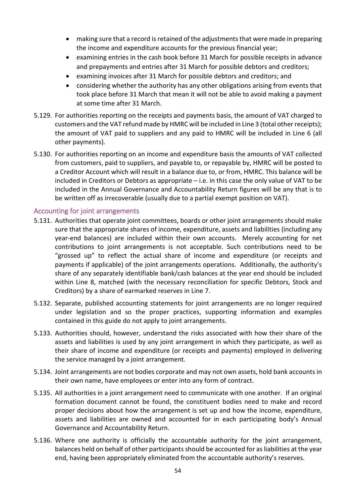- making sure that a record is retained of the adjustments that were made in preparing the income and expenditure accounts for the previous financial year;
- examining entries in the cash book before 31 March for possible receipts in advance and prepayments and entries after 31 March for possible debtors and creditors;
- examining invoices after 31 March for possible debtors and creditors; and
- considering whether the authority has any other obligations arising from events that took place before 31 March that mean it will not be able to avoid making a payment at some time after 31 March.
- 5.129. For authorities reporting on the receipts and payments basis, the amount of VAT charged to customers and the VAT refund made by HMRC will be included in Line 3 (total other receipts); the amount of VAT paid to suppliers and any paid to HMRC will be included in Line 6 (all other payments).
- 5.130. For authorities reporting on an income and expenditure basis the amounts of VAT collected from customers, paid to suppliers, and payable to, or repayable by, HMRC will be posted to a Creditor Account which will result in a balance due to, or from, HMRC. This balance will be included in Creditors or Debtors as appropriate – i.e. in this case the only value of VAT to be included in the Annual Governance and Accountability Return figures will be any that is to be written off as irrecoverable (usually due to a partial exempt position on VAT).

## <span id="page-53-0"></span>Accounting for joint arrangements

- 5.131. Authorities that operate joint committees, boards or other joint arrangements should make sure that the appropriate shares of income, expenditure, assets and liabilities (including any year-end balances) are included within their own accounts. Merely accounting for net contributions to joint arrangements is not acceptable. Such contributions need to be "grossed up" to reflect the actual share of income and expenditure (or receipts and payments if applicable) of the joint arrangements operations. Additionally, the authority's share of any separately identifiable bank/cash balances at the year end should be included within Line 8, matched (with the necessary reconciliation for specific Debtors, Stock and Creditors) by a share of earmarked reserves in Line 7.
- 5.132. Separate, published accounting statements for joint arrangements are no longer required under legislation and so the proper practices, supporting information and examples contained in this guide do not apply to joint arrangements.
- 5.133. Authorities should, however, understand the risks associated with how their share of the assets and liabilities is used by any joint arrangement in which they participate, as well as their share of income and expenditure (or receipts and payments) employed in delivering the service managed by a joint arrangement.
- 5.134. Joint arrangements are not bodies corporate and may not own assets, hold bank accounts in their own name, have employees or enter into any form of contract.
- 5.135. All authorities in a joint arrangement need to communicate with one another. If an original formation document cannot be found, the constituent bodies need to make and record proper decisions about how the arrangement is set up and how the income, expenditure, assets and liabilities are owned and accounted for in each participating body's Annual Governance and Accountability Return.
- 5.136. Where one authority is officially the accountable authority for the joint arrangement, balances held on behalf of other participants should be accounted for as liabilities at the year end, having been appropriately eliminated from the accountable authority's reserves.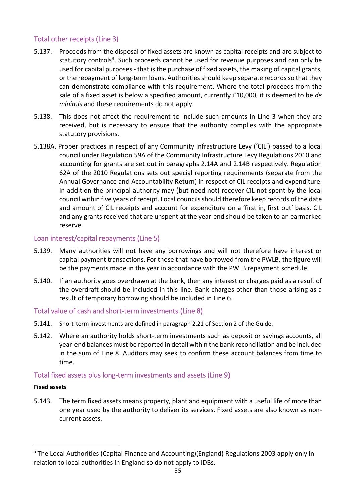## <span id="page-54-0"></span>Total other receipts (Line 3)

- 5.137. Proceeds from the disposal of fixed assets are known as capital receipts and are subject to statutory controls<sup>3</sup>. Such proceeds cannot be used for revenue purposes and can only be used for capital purposes - that is the purchase of fixed assets, the making of capital grants, or the repayment of long-term loans. Authorities should keep separate records so that they can demonstrate compliance with this requirement. Where the total proceeds from the sale of a fixed asset is below a specified amount, currently £10,000, it is deemed to be *de minimis* and these requirements do not apply.
- 5.138. This does not affect the requirement to include such amounts in Line 3 when they are received, but is necessary to ensure that the authority complies with the appropriate statutory provisions.
- 5.138A. Proper practices in respect of any Community Infrastructure Levy ('CIL') passed to a local council under Regulation 59A of the Community Infrastructure Levy Regulations 2010 and accounting for grants are set out in paragraphs 2.14A and 2.14B respectively. Regulation 62A of the 2010 Regulations sets out special reporting requirements (separate from the Annual Governance and Accountability Return) in respect of CIL receipts and expenditure. In addition the principal authority may (but need not) recover CIL not spent by the local council within five years of receipt. Local councils should therefore keep records of the date and amount of CIL receipts and account for expenditure on a 'first in, first out' basis. CIL and any grants received that are unspent at the year-end should be taken to an earmarked reserve.

## Loan interest/capital repayments (Line 5)

- 5.139. Many authorities will not have any borrowings and will not therefore have interest or capital payment transactions. For those that have borrowed from the PWLB, the figure will be the payments made in the year in accordance with the PWLB repayment schedule.
- 5.140. If an authority goes overdrawn at the bank, then any interest or charges paid as a result of the overdraft should be included in this line. Bank charges other than those arising as a result of temporary borrowing should be included in Line 6.

## <span id="page-54-1"></span>Total value of cash and short-term investments (Line 8)

- 5.141. Short-term investments are defined in paragraph 2.21 of Section 2 of the Guide.
- 5.142. Where an authority holds short-term investments such as deposit or savings accounts, all year-end balances must be reported in detail within the bank reconciliation and be included in the sum of Line 8. Auditors may seek to confirm these account balances from time to time.

## <span id="page-54-2"></span>Total fixed assets plus long-term investments and assets (Line 9)

## **Fixed assets**

5.143. The term fixed assets means property, plant and equipment with a useful life of more than one year used by the authority to deliver its services. Fixed assets are also known as noncurrent assets.

<span id="page-54-3"></span><sup>&</sup>lt;sup>3</sup> The Local Authorities (Capital Finance and Accounting)(England) Regulations 2003 apply only in relation to local authorities in England so do not apply to IDBs.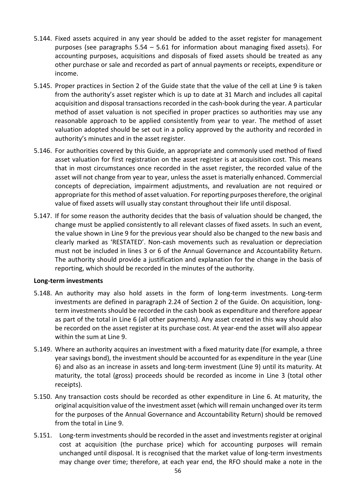- 5.144. Fixed assets acquired in any year should be added to the asset register for management purposes (see paragraphs 5.54 – 5.61 for information about managing fixed assets). For accounting purposes, acquisitions and disposals of fixed assets should be treated as any other purchase or sale and recorded as part of annual payments or receipts, expenditure or income.
- 5.145. Proper practices in Section 2 of the Guide state that the value of the cell at Line 9 is taken from the authority's asset register which is up to date at 31 March and includes all capital acquisition and disposal transactions recorded in the cash-book during the year. A particular method of asset valuation is not specified in proper practices so authorities may use any reasonable approach to be applied consistently from year to year. The method of asset valuation adopted should be set out in a policy approved by the authority and recorded in authority's minutes and in the asset register.
- 5.146. For authorities covered by this Guide, an appropriate and commonly used method of fixed asset valuation for first registration on the asset register is at acquisition cost. This means that in most circumstances once recorded in the asset register, the recorded value of the asset will not change from year to year, unless the asset is materially enhanced. Commercial concepts of depreciation, impairment adjustments, and revaluation are not required or appropriate for this method of asset valuation. For reporting purposes therefore, the original value of fixed assets will usually stay constant throughout their life until disposal.
- 5.147. If for some reason the authority decides that the basis of valuation should be changed, the change must be applied consistently to all relevant classes of fixed assets. In such an event, the value shown in Line 9 for the previous year should also be changed to the new basis and clearly marked as 'RESTATED'. Non-cash movements such as revaluation or depreciation must not be included in lines 3 or 6 of the Annual Governance and Accountability Return. The authority should provide a justification and explanation for the change in the basis of reporting, which should be recorded in the minutes of the authority.

## **Long-term investments**

- 5.148. An authority may also hold assets in the form of long-term investments. Long-term investments are defined in paragraph 2.24 of Section 2 of the Guide. On acquisition, longterm investments should be recorded in the cash book as expenditure and therefore appear as part of the total in Line 6 (all other payments). Any asset created in this way should also be recorded on the asset register at its purchase cost. At year-end the asset will also appear within the sum at Line 9.
- 5.149. Where an authority acquires an investment with a fixed maturity date (for example, a three year savings bond), the investment should be accounted for as expenditure in the year (Line 6) and also as an increase in assets and long-term investment (Line 9) until its maturity. At maturity, the total (gross) proceeds should be recorded as income in Line 3 (total other receipts).
- 5.150. Any transaction costs should be recorded as other expenditure in Line 6. At maturity, the original acquisition value of the investment asset (which will remain unchanged over its term for the purposes of the Annual Governance and Accountability Return) should be removed from the total in Line 9.
- 5.151. Long-term investments should be recorded in the asset and investments register at original cost at acquisition (the purchase price) which for accounting purposes will remain unchanged until disposal. It is recognised that the market value of long-term investments may change over time; therefore, at each year end, the RFO should make a note in the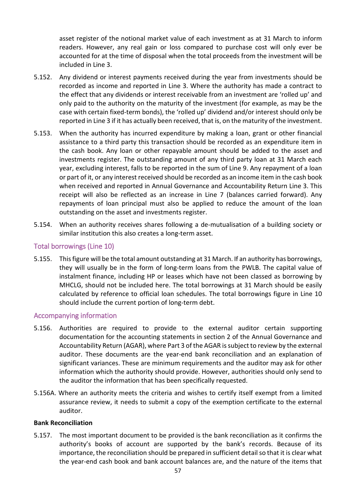asset register of the notional market value of each investment as at 31 March to inform readers. However, any real gain or loss compared to purchase cost will only ever be accounted for at the time of disposal when the total proceeds from the investment will be included in Line 3.

- 5.152. Any dividend or interest payments received during the year from investments should be recorded as income and reported in Line 3. Where the authority has made a contract to the effect that any dividends or interest receivable from an investment are 'rolled up' and only paid to the authority on the maturity of the investment (for example, as may be the case with certain fixed-term bonds), the 'rolled up' dividend and/or interest should only be reported in Line 3 if it has actually been received, that is, on the maturity of the investment.
- 5.153. When the authority has incurred expenditure by making a loan, grant or other financial assistance to a third party this transaction should be recorded as an expenditure item in the cash book. Any loan or other repayable amount should be added to the asset and investments register. The outstanding amount of any third party loan at 31 March each year, excluding interest, falls to be reported in the sum of Line 9. Any repayment of a loan or part of it, or any interest received should be recorded as an income item in the cash book when received and reported in Annual Governance and Accountability Return Line 3. This receipt will also be reflected as an increase in Line 7 (balances carried forward). Any repayments of loan principal must also be applied to reduce the amount of the loan outstanding on the asset and investments register.
- 5.154. When an authority receives shares following a de-mutualisation of a building society or similar institution this also creates a long-term asset.

## <span id="page-56-0"></span>Total borrowings (Line 10)

5.155. This figure will be the total amount outstanding at 31 March. If an authority has borrowings, they will usually be in the form of long-term loans from the PWLB. The capital value of instalment finance, including HP or leases which have not been classed as borrowing by MHCLG, should not be included here. The total borrowings at 31 March should be easily calculated by reference to official loan schedules. The total borrowings figure in Line 10 should include the current portion of long-term debt.

## <span id="page-56-1"></span>Accompanying information

- 5.156. Authorities are required to provide to the external auditor certain supporting documentation for the accounting statements in section 2 of the Annual Governance and Accountability Return (AGAR), where Part 3 of the AGAR is subject to review by the external auditor. These documents are the year-end bank reconciliation and an explanation of significant variances. These are minimum requirements and the auditor may ask for other information which the authority should provide. However, authorities should only send to the auditor the information that has been specifically requested.
- 5.156A. Where an authority meets the criteria and wishes to certify itself exempt from a limited assurance review, it needs to submit a copy of the exemption certificate to the external auditor.

## **Bank Reconciliation**

5.157. The most important document to be provided is the bank reconciliation as it confirms the authority's books of account are supported by the bank's records. Because of its importance, the reconciliation should be prepared in sufficient detail so that it is clear what the year-end cash book and bank account balances are, and the nature of the items that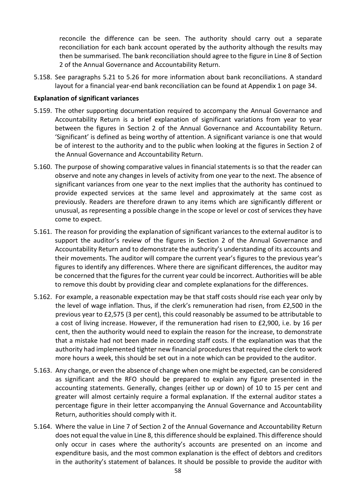reconcile the difference can be seen. The authority should carry out a separate reconciliation for each bank account operated by the authority although the results may then be summarised. The bank reconciliation should agree to the figure in Line 8 of Section 2 of the Annual Governance and Accountability Return.

5.158. See paragraphs 5.21 to 5.26 for more information about bank reconciliations. A standard layout for a financial year-end bank reconciliation can be found at Appendix 1 on page 34.

## **Explanation of significant variances**

- 5.159. The other supporting documentation required to accompany the Annual Governance and Accountability Return is a brief explanation of significant variations from year to year between the figures in Section 2 of the Annual Governance and Accountability Return. 'Significant' is defined as being worthy of attention. A significant variance is one that would be of interest to the authority and to the public when looking at the figures in Section 2 of the Annual Governance and Accountability Return.
- 5.160. The purpose of showing comparative values in financial statements is so that the reader can observe and note any changes in levels of activity from one year to the next. The absence of significant variances from one year to the next implies that the authority has continued to provide expected services at the same level and approximately at the same cost as previously. Readers are therefore drawn to any items which are significantly different or unusual, as representing a possible change in the scope or level or cost of services they have come to expect.
- 5.161. The reason for providing the explanation of significant variances to the external auditor is to support the auditor's review of the figures in Section 2 of the Annual Governance and Accountability Return and to demonstrate the authority's understanding of its accounts and their movements. The auditor will compare the current year's figures to the previous year's figures to identify any differences. Where there are significant differences, the auditor may be concerned that the figures for the current year could be incorrect. Authorities will be able to remove this doubt by providing clear and complete explanations for the differences.
- 5.162. For example, a reasonable expectation may be that staff costs should rise each year only by the level of wage inflation. Thus, if the clerk's remuneration had risen, from £2,500 in the previous year to £2,575 (3 per cent), this could reasonably be assumed to be attributable to a cost of living increase. However, if the remuneration had risen to £2,900, i.e. by 16 per cent, then the authority would need to explain the reason for the increase, to demonstrate that a mistake had not been made in recording staff costs. If the explanation was that the authority had implemented tighter new financial procedures that required the clerk to work more hours a week, this should be set out in a note which can be provided to the auditor.
- 5.163. Any change, or even the absence of change when one might be expected, can be considered as significant and the RFO should be prepared to explain any figure presented in the accounting statements. Generally, changes (either up or down) of 10 to 15 per cent and greater will almost certainly require a formal explanation. If the external auditor states a percentage figure in their letter accompanying the Annual Governance and Accountability Return, authorities should comply with it.
- 5.164. Where the value in Line 7 of Section 2 of the Annual Governance and Accountability Return does not equal the value in Line 8, this difference should be explained. This difference should only occur in cases where the authority's accounts are presented on an income and expenditure basis, and the most common explanation is the effect of debtors and creditors in the authority's statement of balances. It should be possible to provide the auditor with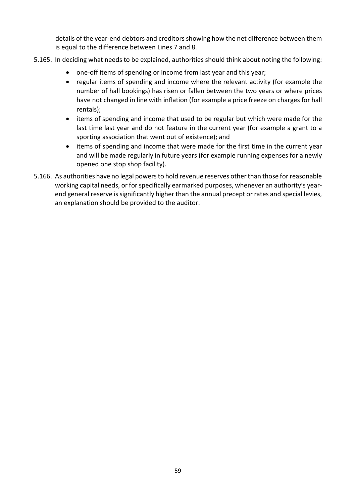details of the year-end debtors and creditors showing how the net difference between them is equal to the difference between Lines 7 and 8.

- 5.165. In deciding what needs to be explained, authorities should think about noting the following:
	- one-off items of spending or income from last year and this year;
	- regular items of spending and income where the relevant activity (for example the number of hall bookings) has risen or fallen between the two years or where prices have not changed in line with inflation (for example a price freeze on charges for hall rentals);
	- items of spending and income that used to be regular but which were made for the last time last year and do not feature in the current year (for example a grant to a sporting association that went out of existence); and
	- items of spending and income that were made for the first time in the current year and will be made regularly in future years (for example running expenses for a newly opened one stop shop facility).
- 5.166. As authorities have no legal powers to hold revenue reserves other than those for reasonable working capital needs, or for specifically earmarked purposes, whenever an authority's yearend general reserve is significantly higher than the annual precept or rates and special levies, an explanation should be provided to the auditor.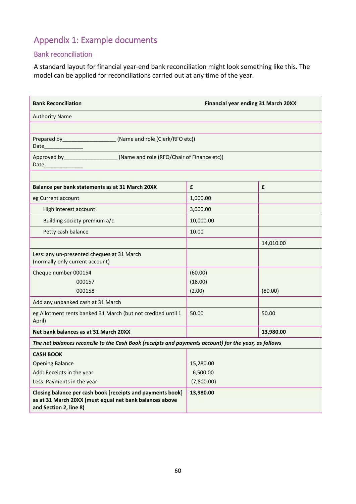# <span id="page-59-0"></span>Appendix 1: Example documents

## <span id="page-59-1"></span>Bank reconciliation

A standard layout for financial year-end bank reconciliation might look something like this. The model can be applied for reconciliations carried out at any time of the year.

| <b>Bank Reconciliation</b><br><b>Financial year ending 31 March 20XX</b>                                                                        |            |           |  |
|-------------------------------------------------------------------------------------------------------------------------------------------------|------------|-----------|--|
| <b>Authority Name</b>                                                                                                                           |            |           |  |
|                                                                                                                                                 |            |           |  |
| Prepared by _____________________(Name and role (Clerk/RFO etc))<br>Date                                                                        |            |           |  |
| Approved by ____________________________(Name and role (RFO/Chair of Finance etc))<br>Date_____________                                         |            |           |  |
|                                                                                                                                                 |            |           |  |
| Balance per bank statements as at 31 March 20XX                                                                                                 | £          | £         |  |
| eg Current account                                                                                                                              | 1,000.00   |           |  |
| High interest account                                                                                                                           | 3,000.00   |           |  |
| Building society premium a/c                                                                                                                    | 10,000.00  |           |  |
| Petty cash balance                                                                                                                              | 10.00      |           |  |
|                                                                                                                                                 |            | 14,010.00 |  |
| Less: any un-presented cheques at 31 March<br>(normally only current account)                                                                   |            |           |  |
| Cheque number 000154                                                                                                                            | (60.00)    |           |  |
| 000157                                                                                                                                          | (18.00)    |           |  |
| 000158                                                                                                                                          | (2.00)     | (80.00)   |  |
| Add any unbanked cash at 31 March                                                                                                               |            |           |  |
| eg Allotment rents banked 31 March (but not credited until 1<br>April)                                                                          | 50.00      | 50.00     |  |
| Net bank balances as at 31 March 20XX                                                                                                           |            | 13,980.00 |  |
| The net balances reconcile to the Cash Book (receipts and payments account) for the year, as follows                                            |            |           |  |
| <b>CASH BOOK</b>                                                                                                                                |            |           |  |
| <b>Opening Balance</b>                                                                                                                          | 15,280.00  |           |  |
| Add: Receipts in the year                                                                                                                       | 6,500.00   |           |  |
| Less: Payments in the year                                                                                                                      | (7,800.00) |           |  |
| Closing balance per cash book [receipts and payments book]<br>as at 31 March 20XX (must equal net bank balances above<br>and Section 2, line 8) | 13,980.00  |           |  |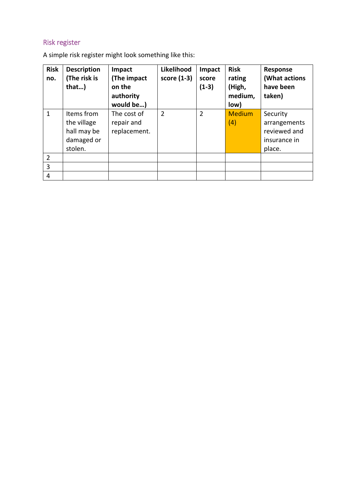# <span id="page-60-0"></span>Risk register

A simple risk register might look something like this:

| <b>Risk</b><br>no. | <b>Description</b><br>(The risk is<br>that)                       | Impact<br>(The impact<br>on the<br>authority<br>would be) | Likelihood<br>score (1-3) | Impact<br>score<br>$(1-3)$ | <b>Risk</b><br>rating<br>(High,<br>medium,<br>low) | <b>Response</b><br>(What actions<br>have been<br>taken)            |
|--------------------|-------------------------------------------------------------------|-----------------------------------------------------------|---------------------------|----------------------------|----------------------------------------------------|--------------------------------------------------------------------|
| $\mathbf{1}$       | Items from<br>the village<br>hall may be<br>damaged or<br>stolen. | The cost of<br>repair and<br>replacement.                 | $\overline{2}$            | $\overline{2}$             | <b>Medium</b><br>(4)                               | Security<br>arrangements<br>reviewed and<br>insurance in<br>place. |
| $\overline{2}$     |                                                                   |                                                           |                           |                            |                                                    |                                                                    |
| 3                  |                                                                   |                                                           |                           |                            |                                                    |                                                                    |
| 4                  |                                                                   |                                                           |                           |                            |                                                    |                                                                    |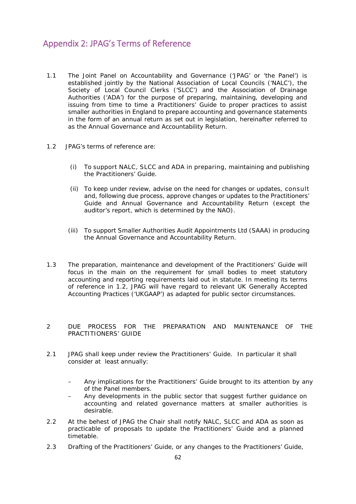## <span id="page-61-0"></span>Appendix 2: JPAG's Terms of Reference

- 1.1 The Joint Panel on Accountability and Governance ('JPAG' or 'the Panel') is established jointly by the National Association of Local Councils ('NALC'), the Society of Local Council Clerks ('SLCC') and the Association of Drainage Authorities ('ADA') for the purpose of preparing, maintaining, developing and issuing from time to time a Practitioners' Guide to proper practices to assist smaller authorities in England to prepare accounting and governance statements in the form of an annual return as set out in legislation, hereinafter referred to as the Annual Governance and Accountability Return.
- 1.2 JPAG's terms of reference are:
	- (i) To support NALC, SLCC and ADA in preparing, maintaining and publishing the Practitioners' Guide.
	- (ii) To keep under review, advise on the need for changes or updates, consult and, following due process, approve changes or updates to the Practitioners' Guide and Annual Governance and Accountability Return (except the auditor's report, which is determined by the NAO).
	- (iii) To support Smaller Authorities Audit Appointments Ltd (SAAA) in producing the Annual Governance and Accountability Return.
- 1.3 The preparation, maintenance and development of the Practitioners' Guide will focus in the main on the requirement for small bodies to meet statutory accounting and reporting requirements laid out in statute. In meeting its terms of reference in 1.2, JPAG will have regard to relevant UK Generally Accepted Accounting Practices ('UKGAAP') as adapted for public sector circumstances.
- 2 DUE PROCESS FOR THE PREPARATION AND MAINTENANCE OF THE PRACTITIONERS' GUIDE
- 2.1 JPAG shall keep under review the Practitioners' Guide. In particular it shall consider at least annually:
	- Any implications for the Practitioners' Guide brought to its attention by any of the Panel members.
	- Any developments in the public sector that suggest further guidance on accounting and related governance matters at smaller authorities is desirable.
- 2.2 At the behest of JPAG the Chair shall notify NALC, SLCC and ADA as soon as practicable of proposals to update the Practitioners' Guide and a planned timetable.
- 2.3 Drafting of the Practitioners' Guide, or any changes to the Practitioners' Guide,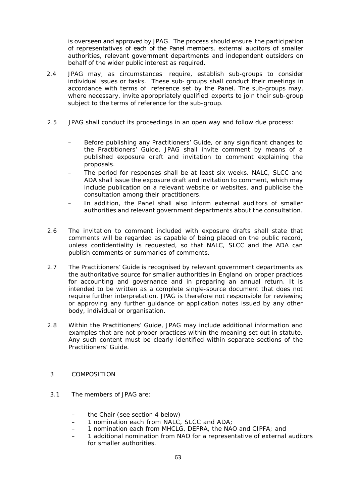is overseen and approved by JPAG. The process should ensure the participation of representatives of each of the Panel members, external auditors of smaller authorities, relevant government departments and independent outsiders on behalf of the wider public interest as required.

- 2.4 JPAG may, as circumstances require, establish sub-groups to consider individual issues or tasks. These sub- groups shall conduct their meetings in accordance with terms of reference set by the Panel. The sub-groups may, where necessary, invite appropriately qualified experts to join their sub-group subject to the terms of reference for the sub-group.
- 2.5 JPAG shall conduct its proceedings in an open way and follow due process:
	- Before publishing any Practitioners' Guide, or any significant changes to the Practitioners' Guide, JPAG shall invite comment by means of a published exposure draft and invitation to comment explaining the proposals.
	- The period for responses shall be at least six weeks. NALC, SLCC and ADA shall issue the exposure draft and invitation to comment, which may include publication on a relevant website or websites, and publicise the consultation among their practitioners.
	- In addition, the Panel shall also inform external auditors of smaller authorities and relevant government departments about the consultation.
- 2.6 The invitation to comment included with exposure drafts shall state that comments will be regarded as capable of being placed on the public record, unless confidentiality is requested, so that NALC, SLCC and the ADA can publish comments or summaries of comments.
- 2.7 The Practitioners' Guide is recognised by relevant government departments as the authoritative source for smaller authorities in England on proper practices for accounting and governance and in preparing an annual return. It is intended to be written as a complete single-source document that does not require further interpretation. JPAG is therefore not responsible for reviewing or approving any further guidance or application notes issued by any other body, individual or organisation.
- 2.8 Within the Practitioners' Guide, JPAG may include additional information and examples that are not proper practices within the meaning set out in statute. Any such content must be clearly identified within separate sections of the Practitioners' Guide.

#### 3 COMPOSITION

- 3.1 The members of JPAG are:
	- the Chair (see section 4 below)
	- 1 nomination each from NALC, SLCC and ADA;
	- 1 nomination each from MHCLG, DEFRA, the NAO and CIPFA; and
	- 1 additional nomination from NAO for a representative of external auditors for smaller authorities.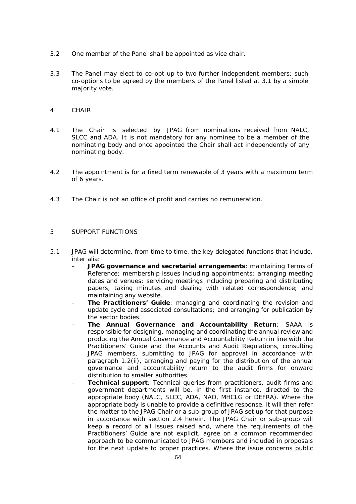- 3.2 One member of the Panel shall be appointed as vice chair.
- 3.3 The Panel may elect to co-opt up to two further independent members; such co-options to be agreed by the members of the Panel listed at 3.1 by a simple majority vote.
- 4 CHAIR
- 4.1 The Chair is selected by JPAG from nominations received from NALC, SLCC and ADA. It is not mandatory for any nominee to be a member of the nominating body and once appointed the Chair shall act independently of any nominating body.
- 4.2 The appointment is for a fixed term renewable of 3 years with a maximum term of 6 years.
- 4.3 The Chair is not an office of profit and carries no remuneration.

#### 5 SUPPORT FUNCTIONS

- 5.1 JPAG will determine, from time to time, the key delegated functions that include, inter alia:
	- **JPAG governance and secretarial arrangements**: maintaining Terms of Reference; membership issues including appointments; arranging meeting dates and venues; servicing meetings including preparing and distributing papers, taking minutes and dealing with related correspondence; and maintaining any website.
	- **The Practitioners' Guide**: managing and coordinating the revision and update cycle and associated consultations; and arranging for publication by the sector bodies.
	- **The Annual Governance and Accountability Return**: SAAA is responsible for designing, managing and coordinating the annual review and producing the Annual Governance and Accountability Return in line with the Practitioners' Guide and the Accounts and Audit Regulations, consulting JPAG members, submitting to JPAG for approval in accordance with paragraph 1.2(ii), arranging and paying for the distribution of the annual governance and accountability return to the audit firms for onward distribution to smaller authorities.
	- **Technical support**: Technical queries from practitioners, audit firms and government departments will be, in the first instance, directed to the appropriate body (NALC, SLCC, ADA, NAO, MHCLG or DEFRA). Where the appropriate body is unable to provide a definitive response, it will then refer the matter to the JPAG Chair or a sub-group of JPAG set up for that purpose in accordance with section 2.4 herein. The JPAG Chair or sub-group will keep a record of all issues raised and, where the requirements of the Practitioners' Guide are not explicit, agree on a common recommended approach to be communicated to JPAG members and included in proposals for the next update to proper practices. Where the issue concerns public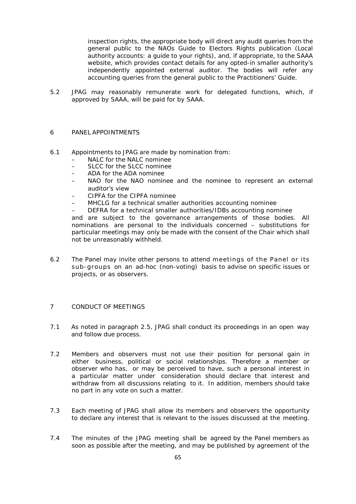inspection rights, the appropriate body will direct any audit queries from the general public to the NAOs Guide to Electors Rights publication (Local authority accounts: a guide to your rights), and, if appropriate, to the SAAA website, which provides contact details for any opted-in smaller authority's independently appointed external auditor. The bodies will refer any accounting queries from the general public to the Practitioners' Guide.

5.2 JPAG may reasonably remunerate work for delegated functions, which, if approved by SAAA, will be paid for by SAAA.

#### 6 PANEL APPOINTMENTS

- 6.1 Appointments to JPAG are made by nomination from:
	- NALC for the NALC nominee
	- SLCC for the SLCC nominee
	- ADA for the ADA nominee
	- NAO for the NAO nominee and the nominee to represent an external auditor's view
	- CIPFA for the CIPFA nominee
	- MHCLG for a technical smaller authorities accounting nominee
	- DEFRA for a technical smaller authorities/IDBs accounting nominee

and are subject to the governance arrangements of those bodies. All nominations are personal to the individuals concerned – substitutions for particular meetings may only be made with the consent of the Chair which shall not be unreasonably withheld.

6.2 The Panel may invite other persons to attend meetings of the Panel or its sub-groups on an ad-hoc (non-voting) basis to advise on specific issues or projects, or as observers.

#### 7 CONDUCT OF MEETINGS

- 7.1 As noted in paragraph 2.5, JPAG shall conduct its proceedings in an open way and follow due process.
- 7.2 Members and observers must not use their position for personal gain in either business, political or social relationships. Therefore a member or observer who has, or may be perceived to have, such a personal interest in a particular matter under consideration should declare that interest and withdraw from all discussions relating to it. In addition, members should take no part in any vote on such a matter.
- 7.3 Each meeting of JPAG shall allow its members and observers the opportunity to declare any interest that is relevant to the issues discussed at the meeting.
- 7.4 The minutes of the JPAG meeting shall be agreed by the Panel members as soon as possible after the meeting, and may be published by agreement of the